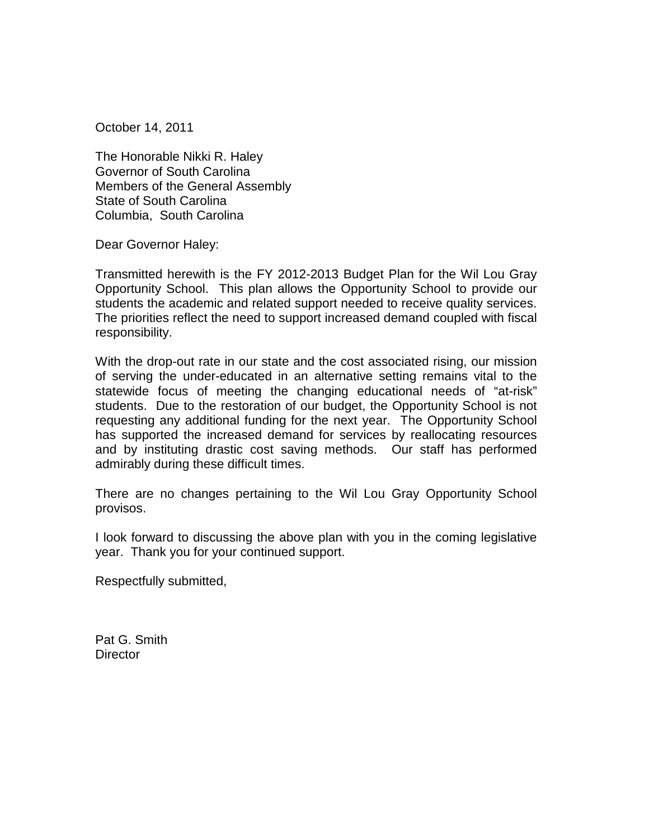October 14, 2011

The Honorable Nikki R. Haley Governor of South Carolina Members of the General Assembly State of South Carolina Columbia, South Carolina

Dear Governor Haley:

Transmitted herewith is the FY 2012-2013 Budget Plan for the Wil Lou Gray Opportunity School. This plan allows the Opportunity School to provide our students the academic and related support needed to receive quality services. The priorities reflect the need to support increased demand coupled with fiscal responsibility.

With the drop-out rate in our state and the cost associated rising, our mission of serving the under-educated in an alternative setting remains vital to the statewide focus of meeting the changing educational needs of "at-risk" students. Due to the restoration of our budget, the Opportunity School is not requesting any additional funding for the next year. The Opportunity School has supported the increased demand for services by reallocating resources and by instituting drastic cost saving methods. Our staff has performed admirably during these difficult times.

There are no changes pertaining to the Wil Lou Gray Opportunity School provisos.

I look forward to discussing the above plan with you in the coming legislative year. Thank you for your continued support.

Respectfully submitted,

Pat G. Smith **Director**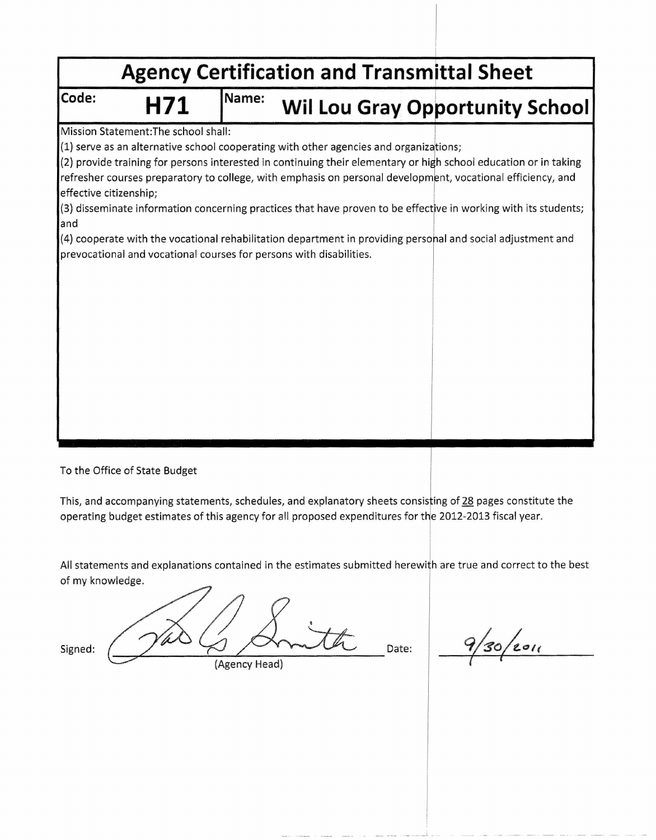|                        |                                                                                       |       |  |  | <b>Agency Certification and Transmittal Sheet</b>                                                                                                                                                                               |
|------------------------|---------------------------------------------------------------------------------------|-------|--|--|---------------------------------------------------------------------------------------------------------------------------------------------------------------------------------------------------------------------------------|
| Code:                  | H71                                                                                   | Name: |  |  | <b>Wil Lou Gray Opportunity School</b>                                                                                                                                                                                          |
|                        | Mission Statement: The school shall:                                                  |       |  |  |                                                                                                                                                                                                                                 |
|                        | (1) serve as an alternative school cooperating with other agencies and organizations; |       |  |  |                                                                                                                                                                                                                                 |
| effective citizenship; |                                                                                       |       |  |  | (2) provide training for persons interested in continuing their elementary or high school education or in taking<br>refresher courses preparatory to college, with emphasis on personal development, vocational efficiency, and |
| land                   |                                                                                       |       |  |  | (3) disseminate information concerning practices that have proven to be effective in working with its students;                                                                                                                 |
|                        |                                                                                       |       |  |  | (4) cooperate with the vocational rehabilitation department in providing personal and social adjustment and                                                                                                                     |
|                        | prevocational and vocational courses for persons with disabilities.                   |       |  |  |                                                                                                                                                                                                                                 |
|                        |                                                                                       |       |  |  |                                                                                                                                                                                                                                 |
|                        |                                                                                       |       |  |  |                                                                                                                                                                                                                                 |
|                        |                                                                                       |       |  |  |                                                                                                                                                                                                                                 |
|                        |                                                                                       |       |  |  |                                                                                                                                                                                                                                 |
|                        |                                                                                       |       |  |  |                                                                                                                                                                                                                                 |
|                        |                                                                                       |       |  |  |                                                                                                                                                                                                                                 |
|                        |                                                                                       |       |  |  |                                                                                                                                                                                                                                 |
|                        |                                                                                       |       |  |  |                                                                                                                                                                                                                                 |
|                        |                                                                                       |       |  |  |                                                                                                                                                                                                                                 |
|                        |                                                                                       |       |  |  |                                                                                                                                                                                                                                 |
|                        |                                                                                       |       |  |  |                                                                                                                                                                                                                                 |

To the Office of State Budget

I This, and accompanying statements, schedules, and explanatory sheets consisting of <u>28</u> pages constitute the operating budget estimates of this agency for all proposed expenditures for the 2012-2013 fiscal year.

All statements and explanations contained in the estimates submitted herewith are true and correct to the best of my knowledge.

signed:  $\gamma_{\mu\lambda}$   $\zeta_{\mu}$   $\lambda_{\text{rand}}$  Date: (Agency Head)

 $130/e$ 

 $\overline{\phantom{a}}$ I

I

**Inches** I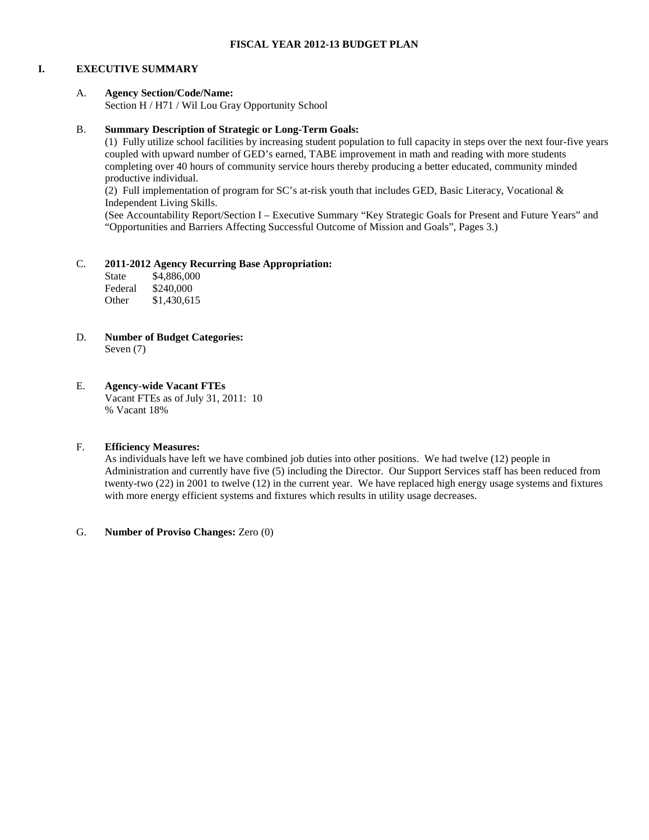#### **I. EXECUTIVE SUMMARY**

#### A. **Agency Section/Code/Name:**

Section H / H71 / Wil Lou Gray Opportunity School

#### B. **Summary Description of Strategic or Long-Term Goals:**

(1) Fully utilize school facilities by increasing student population to full capacity in steps over the next four-five years coupled with upward number of GED's earned, TABE improvement in math and reading with more students completing over 40 hours of community service hours thereby producing a better educated, community minded productive individual.

(2) Full implementation of program for SC's at-risk youth that includes GED, Basic Literacy, Vocational & Independent Living Skills.

(See Accountability Report/Section I – Executive Summary "Key Strategic Goals for Present and Future Years" and "Opportunities and Barriers Affecting Successful Outcome of Mission and Goals", Pages 3.)

#### C. **2011-2012 Agency Recurring Base Appropriation:**

| State   | \$4,886,000 |
|---------|-------------|
| Federal | \$240,000   |
| Other   | \$1,430,615 |

D. **Number of Budget Categories:** Seven (7)

#### E. **Agency-wide Vacant FTEs**

Vacant FTEs as of July 31, 2011: 10 % Vacant 18%

#### F. **Efficiency Measures:**

As individuals have left we have combined job duties into other positions. We had twelve (12) people in Administration and currently have five (5) including the Director. Our Support Services staff has been reduced from twenty-two (22) in 2001 to twelve (12) in the current year. We have replaced high energy usage systems and fixtures with more energy efficient systems and fixtures which results in utility usage decreases.

#### G. **Number of Proviso Changes:** Zero (0)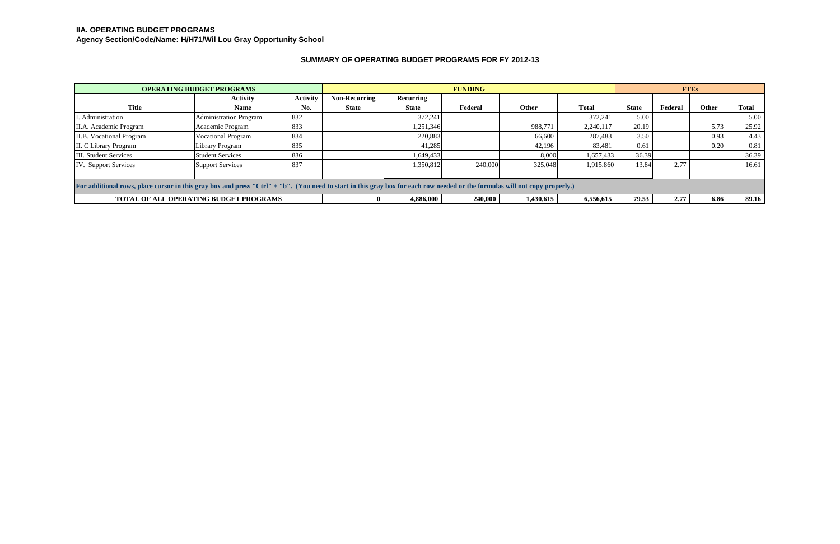| <b>OPERATING BUDGET PROGRAMS</b>                                                                                                                                            |                                               | <b>FUNDING</b>  |                      |              |         |              | <b>FTEs</b>  |              |         |              |              |
|-----------------------------------------------------------------------------------------------------------------------------------------------------------------------------|-----------------------------------------------|-----------------|----------------------|--------------|---------|--------------|--------------|--------------|---------|--------------|--------------|
|                                                                                                                                                                             | <b>Activity</b>                               | <b>Activity</b> | <b>Non-Recurring</b> | Recurring    |         |              |              |              |         |              |              |
| <b>Title</b>                                                                                                                                                                | <b>Name</b>                                   | No.             | <b>State</b>         | <b>State</b> | Federal | <b>Other</b> | <b>Total</b> | <b>State</b> | Federal | <b>Other</b> | <b>Total</b> |
| I. Administration                                                                                                                                                           | <b>Administration Program</b>                 | 832             |                      | 372,241      |         |              | 372,241      | 5.00         |         |              | 5.00         |
| II.A. Academic Program                                                                                                                                                      | Academic Program                              | 833             |                      | 1,251,346    |         | 988,771      | 2,240,117    | 20.19        |         | 5.73         | 25.92        |
| <b>II.B.</b> Vocational Program                                                                                                                                             | <b>Vocational Program</b>                     | 834             |                      | 220,883      |         | 66,600       | 287,483      | 3.50         |         | 0.93         | 4.43         |
| II. C Library Program                                                                                                                                                       | ibrary Program                                | 835             |                      | 41,285       |         | 42,196       | 83,481       | 0.61         |         | 0.20         | 0.81         |
| <b>III.</b> Student Services                                                                                                                                                | <b>Student Services</b>                       | 836             |                      | 1,649,433    |         | 8,000        | 1,657,433    | 36.39        |         |              | 36.39        |
| <b>IV.</b> Support Services                                                                                                                                                 | <b>Support Services</b>                       | 837             |                      | 1,350,812    | 240,000 | 325,048      | 1,915,860    | 13.84        | 2.77    |              | 16.61        |
|                                                                                                                                                                             |                                               |                 |                      |              |         |              |              |              |         |              |              |
| For additional rows, place cursor in this gray box and press "Ctrl" + "b". (You need to start in this gray box for each row needed or the formulas will not copy properly.) |                                               |                 |                      |              |         |              |              |              |         |              |              |
|                                                                                                                                                                             | <b>TOTAL OF ALL OPERATING BUDGET PROGRAMS</b> |                 |                      | 4,886,000    | 240,000 | 1,430,615    | 6,556,615    | 79.53        | 2.77    | 6.86         | 89.16        |

# **SUMMARY OF OPERATING BUDGET PROGRAMS FOR FY 2012-13**

# **IIA. OPERATING BUDGET PROGRAMS**

**Agency Section/Code/Name: H/H71/Wil Lou Gray Opportunity School**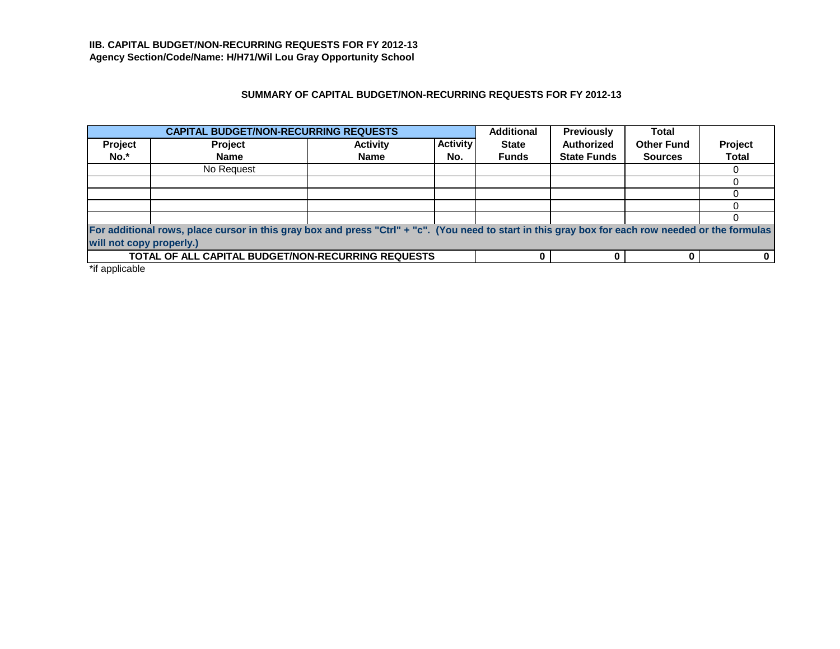# **SUMMARY OF CAPITAL BUDGET/NON-RECURRING REQUESTS FOR FY 2012-13**

|         | <b>CAPITAL BUDGET/NON-RECURRING REQUESTS</b>                                                                                                                                   |                 |                 | <b>Additional</b> | <b>Previously</b>  | <b>Total</b>      |              |  |
|---------|--------------------------------------------------------------------------------------------------------------------------------------------------------------------------------|-----------------|-----------------|-------------------|--------------------|-------------------|--------------|--|
| Project | Project                                                                                                                                                                        | <b>Activity</b> | <b>Activity</b> | <b>State</b>      | <b>Authorized</b>  | <b>Other Fund</b> | Project      |  |
| No.*    | <b>Name</b>                                                                                                                                                                    | <b>Name</b>     | No.             | <b>Funds</b>      | <b>State Funds</b> | <b>Sources</b>    | <b>Total</b> |  |
|         | No Request                                                                                                                                                                     |                 |                 |                   |                    |                   |              |  |
|         |                                                                                                                                                                                |                 |                 |                   |                    |                   |              |  |
|         |                                                                                                                                                                                |                 |                 |                   |                    |                   |              |  |
|         |                                                                                                                                                                                |                 |                 |                   |                    |                   |              |  |
|         |                                                                                                                                                                                |                 |                 |                   |                    |                   |              |  |
|         | For additional rows, place cursor in this gray box and press "Ctrl" + "c". (You need to start in this gray box for each row needed or the formulas<br>will not copy properly.) |                 |                 |                   |                    |                   |              |  |
|         | TOTAL OF ALL CAPITAL BUDGET/NON-RECURRING REQUESTS                                                                                                                             |                 |                 |                   |                    |                   |              |  |

\*if applicable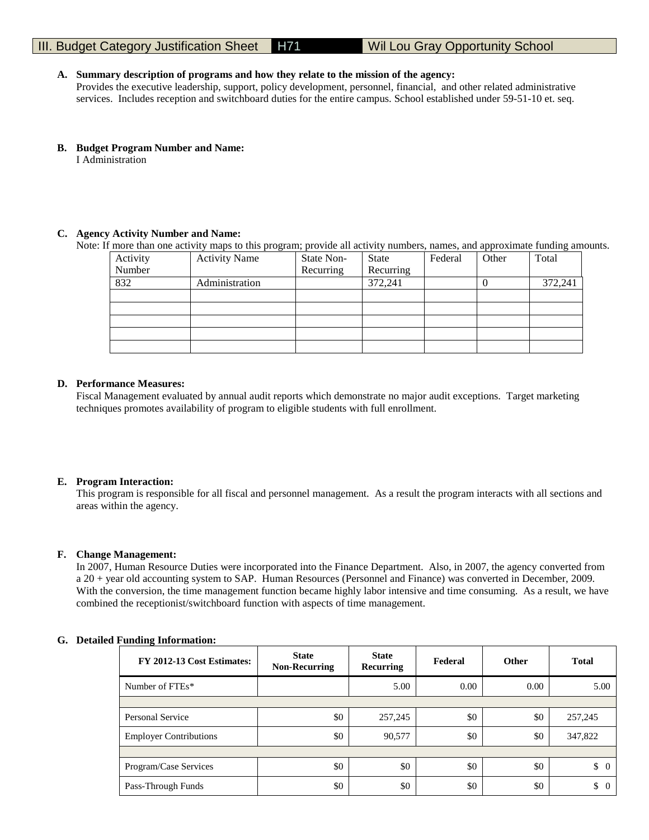#### **A. Summary description of programs and how they relate to the mission of the agency:**

Provides the executive leadership, support, policy development, personnel, financial, and other related administrative services. Includes reception and switchboard duties for the entire campus. School established under 59-51-10 et. seq.

**B. Budget Program Number and Name:**

I Administration

### **C. Agency Activity Number and Name:**

Note: If more than one activity maps to this program; provide all activity numbers, names, and approximate funding amounts.

| Activity | <b>Activity Name</b> | State Non- | State     | Federal | Other | Total   |
|----------|----------------------|------------|-----------|---------|-------|---------|
| Number   |                      | Recurring  | Recurring |         |       |         |
| 832      | Administration       |            | 372,241   |         |       | 372,241 |
|          |                      |            |           |         |       |         |
|          |                      |            |           |         |       |         |
|          |                      |            |           |         |       |         |
|          |                      |            |           |         |       |         |
|          |                      |            |           |         |       |         |

#### **D. Performance Measures:**

Fiscal Management evaluated by annual audit reports which demonstrate no major audit exceptions. Target marketing techniques promotes availability of program to eligible students with full enrollment.

#### **E. Program Interaction:**

This program is responsible for all fiscal and personnel management. As a result the program interacts with all sections and areas within the agency.

#### **F. Change Management:**

In 2007, Human Resource Duties were incorporated into the Finance Department. Also, in 2007, the agency converted from a 20 + year old accounting system to SAP. Human Resources (Personnel and Finance) was converted in December, 2009. With the conversion, the time management function became highly labor intensive and time consuming. As a result, we have combined the receptionist/switchboard function with aspects of time management.

#### **G. Detailed Funding Information:**

| FY 2012-13 Cost Estimates:    | <b>State</b><br><b>Non-Recurring</b> | <b>State</b><br><b>Recurring</b> | Federal | <b>Other</b> | <b>Total</b>         |
|-------------------------------|--------------------------------------|----------------------------------|---------|--------------|----------------------|
| Number of FTEs*               |                                      | 5.00                             | 0.00    | 0.00         | 5.00                 |
|                               |                                      |                                  |         |              |                      |
| Personal Service              | \$0                                  | 257,245                          | \$0     | \$0          | 257,245              |
| <b>Employer Contributions</b> | \$0                                  | 90,577                           | \$0     | \$0          | 347,822              |
|                               |                                      |                                  |         |              |                      |
| Program/Case Services         | \$0                                  | \$0                              | \$0     | \$0          | \$<br>$\overline{0}$ |
| Pass-Through Funds            | \$0                                  | \$0                              | \$0     | \$0          | \$<br>$\Omega$       |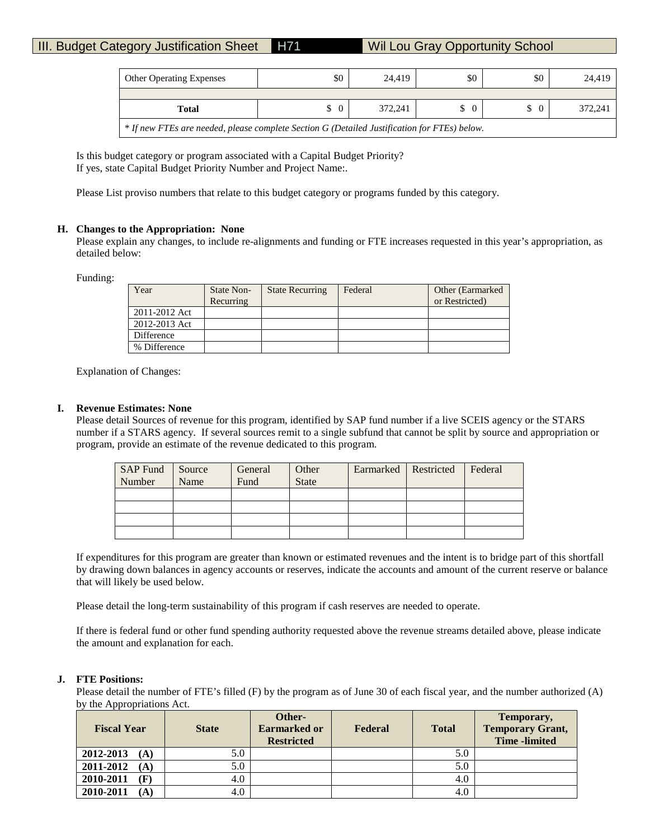| <b>Other Operating Expenses</b>                                                              | \$0 | 24.419  | \$0      | \$0      | 24.419  |  |
|----------------------------------------------------------------------------------------------|-----|---------|----------|----------|---------|--|
|                                                                                              |     |         |          |          |         |  |
| Total                                                                                        |     | 372.241 | $\Omega$ | $\Omega$ | 372.241 |  |
| * If new FTEs are needed, please complete Section G (Detailed Justification for FTEs) below. |     |         |          |          |         |  |

Is this budget category or program associated with a Capital Budget Priority? If yes, state Capital Budget Priority Number and Project Name:.

Please List proviso numbers that relate to this budget category or programs funded by this category.

#### **H. Changes to the Appropriation: None**

Please explain any changes, to include re-alignments and funding or FTE increases requested in this year's appropriation, as detailed below:

Funding:

| Year          | State Non-<br>Recurring | <b>State Recurring</b> | Federal | Other (Earmarked)<br>or Restricted) |
|---------------|-------------------------|------------------------|---------|-------------------------------------|
| 2011-2012 Act |                         |                        |         |                                     |
| 2012-2013 Act |                         |                        |         |                                     |
| Difference    |                         |                        |         |                                     |
| % Difference  |                         |                        |         |                                     |

Explanation of Changes:

#### **I. Revenue Estimates: None**

Please detail Sources of revenue for this program, identified by SAP fund number if a live SCEIS agency or the STARS number if a STARS agency. If several sources remit to a single subfund that cannot be split by source and appropriation or program, provide an estimate of the revenue dedicated to this program.

| SAP Fund Source |      | General | Other        | Earmarked   Restricted | Federal |
|-----------------|------|---------|--------------|------------------------|---------|
| Number          | Name | Fund    | <b>State</b> |                        |         |
|                 |      |         |              |                        |         |
|                 |      |         |              |                        |         |
|                 |      |         |              |                        |         |
|                 |      |         |              |                        |         |

If expenditures for this program are greater than known or estimated revenues and the intent is to bridge part of this shortfall by drawing down balances in agency accounts or reserves, indicate the accounts and amount of the current reserve or balance that will likely be used below.

Please detail the long-term sustainability of this program if cash reserves are needed to operate.

If there is federal fund or other fund spending authority requested above the revenue streams detailed above, please indicate the amount and explanation for each.

#### **J. FTE Positions:**

Please detail the number of FTE's filled (F) by the program as of June 30 of each fiscal year, and the number authorized (A) by the Appropriations Act.

| <b>Fiscal Year</b> | <b>State</b> | Other-<br><b>Earmarked or</b><br><b>Restricted</b> | Federal | <b>Total</b> | Temporary,<br><b>Temporary Grant,</b><br><b>Time</b> -limited |
|--------------------|--------------|----------------------------------------------------|---------|--------------|---------------------------------------------------------------|
| 2012-2013<br>(A)   | 5.0          |                                                    |         | 5.0          |                                                               |
| 2011-2012<br>(A)   | 5.0          |                                                    |         | 5.0          |                                                               |
| 2010-2011<br>(F)   | 4.0          |                                                    |         | 4.0          |                                                               |
| 2010-2011<br>(A)   | 4.0          |                                                    |         | 4.0          |                                                               |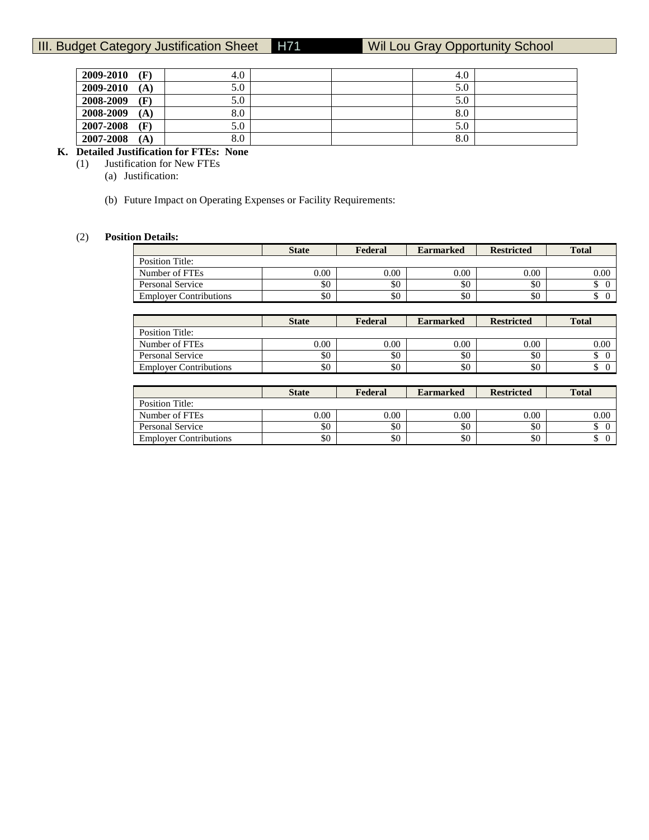| 2009-2010<br>(F)         | 4.0 | 4.0 |  |
|--------------------------|-----|-----|--|
| 2009-2010<br>(A)         | 5.0 | 5.0 |  |
| 2008-2009<br>(F)         | 5.0 | 5.0 |  |
| 2008-2009<br>(A)         | 8.0 | 8.0 |  |
| 2007-2008<br>(F)         | 5.0 | 5.0 |  |
| 2007-2008<br>$({\bf A})$ | 8.0 | 8.0 |  |

# **K. Detailed Justification for FTEs: None**

**Justification for New FTEs** 

- (a) Justification:
- (b) Future Impact on Operating Expenses or Facility Requirements:

#### (2) **Position Details:**

|                               | <b>State</b> | Federal | <b>Earmarked</b> | <b>Restricted</b> | <b>Total</b> |
|-------------------------------|--------------|---------|------------------|-------------------|--------------|
| Position Title:               |              |         |                  |                   |              |
| Number of FTEs                | $0.00\,$     | 0.00    | 0.00             | 0.00              | 0.00         |
| Personal Service              | \$0          | \$0     | \$0              | \$0               |              |
| <b>Employer Contributions</b> | \$0          | \$0     | \$0              | \$0               |              |

|                               | <b>State</b> | Federal | <b>Earmarked</b> | <b>Restricted</b> | <b>Total</b>    |
|-------------------------------|--------------|---------|------------------|-------------------|-----------------|
| Position Title:               |              |         |                  |                   |                 |
| Number of FTEs                | 0.00         | 0.00    | 0.00             | $0.00\,$          | 0.00            |
| Personal Service              | \$0          | \$0     | \$0              | \$0               | Φ               |
| <b>Employer Contributions</b> | \$0          | \$0     | \$0              | \$0               | $\sqrt{2}$<br>ഄ |

|                               | <b>State</b> | Federal | <b>Earmarked</b> | <b>Restricted</b> | <b>Total</b> |
|-------------------------------|--------------|---------|------------------|-------------------|--------------|
| <b>Position Title:</b>        |              |         |                  |                   |              |
| Number of FTEs                | 0.00         | 0.00    | 0.00             | 0.00              | 0.00         |
| Personal Service              | \$0          | \$0     | \$0              | \$0               |              |
| <b>Employer Contributions</b> | \$0          | \$0     | \$0              | \$0               |              |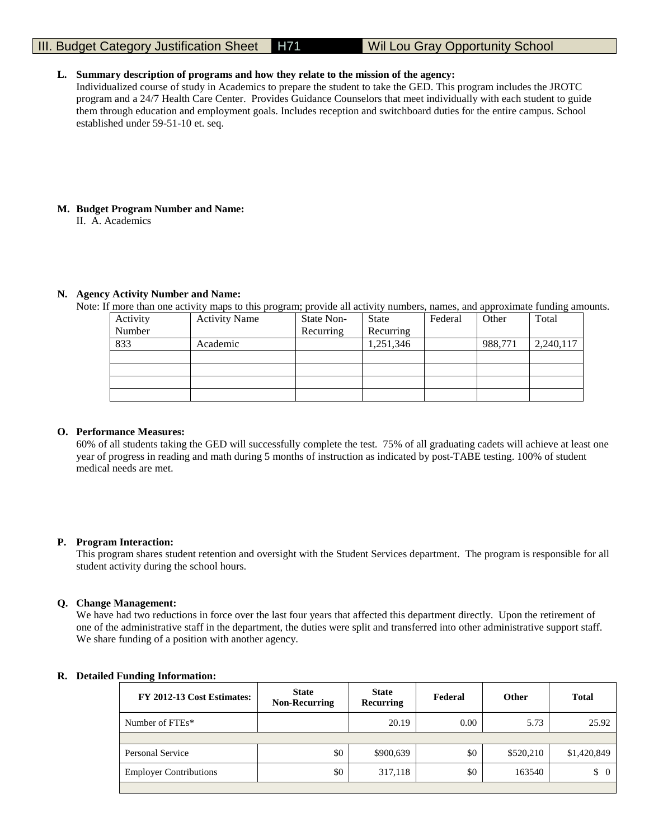#### **L. Summary description of programs and how they relate to the mission of the agency:**

Individualized course of study in Academics to prepare the student to take the GED. This program includes the JROTC program and a 24/7 Health Care Center. Provides Guidance Counselors that meet individually with each student to guide them through education and employment goals. Includes reception and switchboard duties for the entire campus. School established under 59-51-10 et. seq.

#### **M. Budget Program Number and Name:**

II. A. Academics

#### **N. Agency Activity Number and Name:**

Note: If more than one activity maps to this program; provide all activity numbers, names, and approximate funding amounts.

| Activity | <b>Activity Name</b> | State Non- | <b>State</b> | Federal | Other   | Total     |
|----------|----------------------|------------|--------------|---------|---------|-----------|
| Number   |                      | Recurring  | Recurring    |         |         |           |
| 833      | Academic             |            | 1,251,346    |         | 988,771 | 2,240,117 |
|          |                      |            |              |         |         |           |
|          |                      |            |              |         |         |           |
|          |                      |            |              |         |         |           |
|          |                      |            |              |         |         |           |

#### **O. Performance Measures:**

60% of all students taking the GED will successfully complete the test. 75% of all graduating cadets will achieve at least one year of progress in reading and math during 5 months of instruction as indicated by post-TABE testing. 100% of student medical needs are met.

#### **P. Program Interaction:**

This program shares student retention and oversight with the Student Services department. The program is responsible for all student activity during the school hours.

#### **Q. Change Management:**

We have had two reductions in force over the last four years that affected this department directly. Upon the retirement of one of the administrative staff in the department, the duties were split and transferred into other administrative support staff. We share funding of a position with another agency.

#### **R. Detailed Funding Information:**

| FY 2012-13 Cost Estimates:    | <b>State</b><br><b>Non-Recurring</b> |           | <b>State</b><br>Federal<br>Recurring |           | <b>Total</b> |
|-------------------------------|--------------------------------------|-----------|--------------------------------------|-----------|--------------|
| Number of FTEs*               |                                      | 20.19     | 0.00                                 | 5.73      | 25.92        |
|                               |                                      |           |                                      |           |              |
| Personal Service              | \$0                                  | \$900,639 | \$0                                  | \$520,210 | \$1,420,849  |
| <b>Employer Contributions</b> | \$0                                  | 317,118   | \$0                                  | 163540    | \$<br>0      |
|                               |                                      |           |                                      |           |              |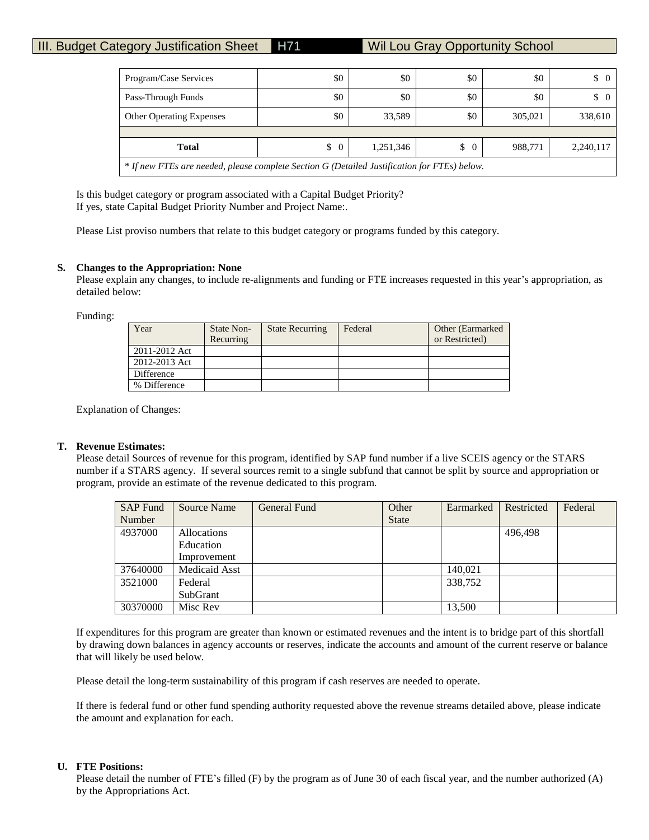| Program/Case Services                                                                        | \$0 | \$0    | \$0 | \$0     | $\begin{matrix} 0 \end{matrix}$ |  |  |  |  |
|----------------------------------------------------------------------------------------------|-----|--------|-----|---------|---------------------------------|--|--|--|--|
| Pass-Through Funds                                                                           | \$0 | \$0    | \$0 | \$0     | $\begin{matrix} 0 \end{matrix}$ |  |  |  |  |
| <b>Other Operating Expenses</b>                                                              | \$0 | 33,589 | \$0 | 305,021 | 338,610                         |  |  |  |  |
|                                                                                              |     |        |     |         |                                 |  |  |  |  |
| <b>Total</b><br>\$<br>1,251,346<br>\$<br>988.771<br>2,240,117<br>$\Omega$<br>$\overline{0}$  |     |        |     |         |                                 |  |  |  |  |
| * If new FTEs are needed, please complete Section G (Detailed Justification for FTEs) below. |     |        |     |         |                                 |  |  |  |  |

Is this budget category or program associated with a Capital Budget Priority? If yes, state Capital Budget Priority Number and Project Name:.

Please List proviso numbers that relate to this budget category or programs funded by this category.

#### **S. Changes to the Appropriation: None**

Please explain any changes, to include re-alignments and funding or FTE increases requested in this year's appropriation, as detailed below:

Funding:

| Year          | State Non- | <b>State Recurring</b> | Federal | Other (Earmarked) |
|---------------|------------|------------------------|---------|-------------------|
|               | Recurring  |                        |         | or Restricted)    |
| 2011-2012 Act |            |                        |         |                   |
| 2012-2013 Act |            |                        |         |                   |
| Difference    |            |                        |         |                   |
| % Difference  |            |                        |         |                   |

Explanation of Changes:

#### **T. Revenue Estimates:**

Please detail Sources of revenue for this program, identified by SAP fund number if a live SCEIS agency or the STARS number if a STARS agency. If several sources remit to a single subfund that cannot be split by source and appropriation or program, provide an estimate of the revenue dedicated to this program.

| <b>SAP Fund</b> | <b>Source Name</b> | General Fund | Other        | Earmarked | Restricted | Federal |
|-----------------|--------------------|--------------|--------------|-----------|------------|---------|
| Number          |                    |              | <b>State</b> |           |            |         |
| 4937000         | <b>Allocations</b> |              |              |           | 496,498    |         |
|                 | Education          |              |              |           |            |         |
|                 | Improvement        |              |              |           |            |         |
| 37640000        | Medicaid Asst      |              |              | 140,021   |            |         |
| 3521000         | Federal            |              |              | 338,752   |            |         |
|                 | SubGrant           |              |              |           |            |         |
| 30370000        | Misc Rev           |              |              | 13,500    |            |         |

If expenditures for this program are greater than known or estimated revenues and the intent is to bridge part of this shortfall by drawing down balances in agency accounts or reserves, indicate the accounts and amount of the current reserve or balance that will likely be used below.

Please detail the long-term sustainability of this program if cash reserves are needed to operate.

If there is federal fund or other fund spending authority requested above the revenue streams detailed above, please indicate the amount and explanation for each.

#### **U. FTE Positions:**

Please detail the number of FTE's filled (F) by the program as of June 30 of each fiscal year, and the number authorized (A) by the Appropriations Act.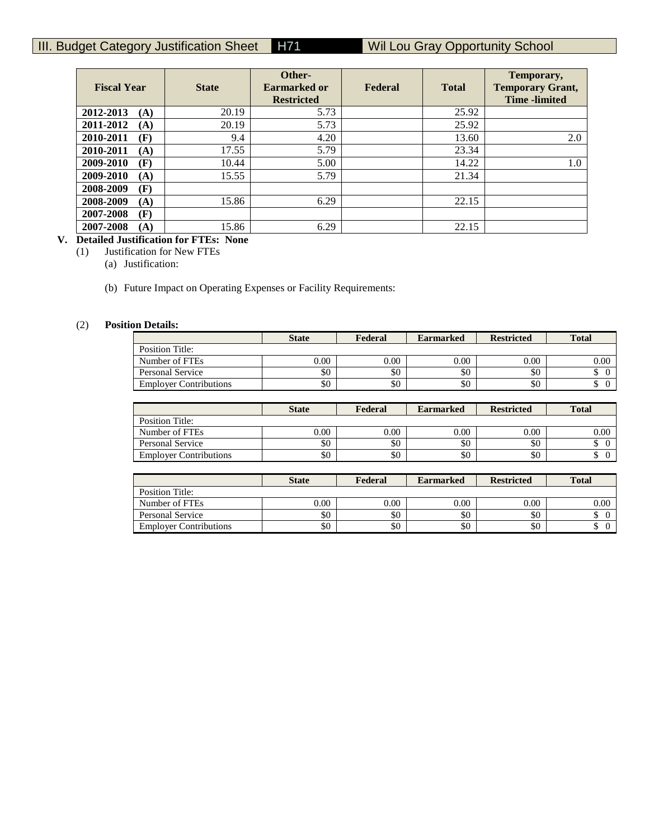| <b>Fiscal Year</b> | <b>State</b> | Other-<br><b>Earmarked or</b><br><b>Restricted</b> | Federal | <b>Total</b> | Temporary,<br><b>Temporary Grant,</b><br><b>Time</b> -limited |
|--------------------|--------------|----------------------------------------------------|---------|--------------|---------------------------------------------------------------|
| 2012-2013<br>(A)   | 20.19        | 5.73                                               |         | 25.92        |                                                               |
| 2011-2012<br>(A)   | 20.19        | 5.73                                               |         | 25.92        |                                                               |
| 2010-2011<br>(F)   | 9.4          | 4.20                                               |         | 13.60        | 2.0                                                           |
| 2010-2011<br>(A)   | 17.55        | 5.79                                               |         | 23.34        |                                                               |
| 2009-2010<br>(F)   | 10.44        | 5.00                                               |         | 14.22        | 1.0                                                           |
| 2009-2010<br>(A)   | 15.55        | 5.79                                               |         | 21.34        |                                                               |
| (F)<br>2008-2009   |              |                                                    |         |              |                                                               |
| 2008-2009<br>(A)   | 15.86        | 6.29                                               |         | 22.15        |                                                               |
| 2007-2008<br>(F)   |              |                                                    |         |              |                                                               |
| 2007-2008<br>(A)   | 15.86        | 6.29                                               |         | 22.15        |                                                               |

# **V. Detailed Justification for FTEs: None**

(1) Justification for New FTEs

(a) Justification:

(b) Future Impact on Operating Expenses or Facility Requirements:

### (2) **Position Details:**

|                               | <b>State</b> | Federal  | <b>Earmarked</b> | <b>Restricted</b> | <b>Total</b> |
|-------------------------------|--------------|----------|------------------|-------------------|--------------|
| Position Title:               |              |          |                  |                   |              |
| Number of FTEs                | 0.00         | $0.00\,$ | 0.00             | 0.00              | 0.00         |
| Personal Service              | \$0          | \$0      | \$0              | \$0               |              |
| <b>Employer Contributions</b> | \$0          | \$0      | \$0              | \$0               | ╜            |

|                               | <b>State</b> | Federal | <b>Earmarked</b> | <b>Restricted</b> | <b>Total</b> |
|-------------------------------|--------------|---------|------------------|-------------------|--------------|
| Position Title:               |              |         |                  |                   |              |
| Number of FTEs                | 0.00         | 0.00    | 0.00             | 0.00              | 0.00         |
| Personal Service              | \$0          | \$0     | \$0              | \$0               | Φ            |
| <b>Employer Contributions</b> | \$0          | \$0     | \$0              | \$0               | Φ            |

|                               | <b>State</b> | Federal  | <b>Earmarked</b> | <b>Restricted</b> | <b>Total</b> |
|-------------------------------|--------------|----------|------------------|-------------------|--------------|
| Position Title:               |              |          |                  |                   |              |
| Number of FTEs                | 0.00         | $0.00\,$ | 0.00             | 0.00              | 0.00         |
| Personal Service              | \$0          | \$0      | \$0              | \$0               |              |
| <b>Employer Contributions</b> | \$0          | \$0      | \$0              | \$0               |              |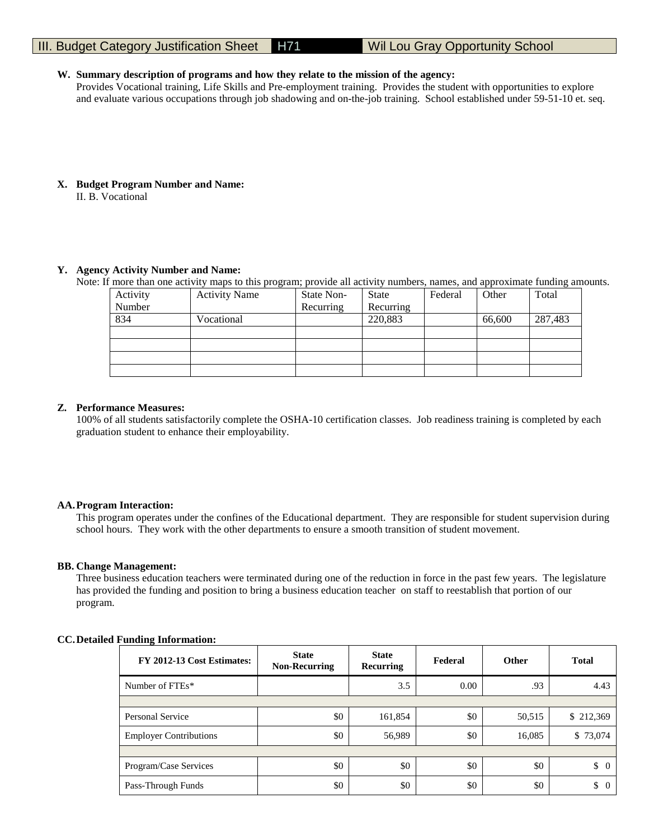#### **W. Summary description of programs and how they relate to the mission of the agency:**

Provides Vocational training, Life Skills and Pre-employment training. Provides the student with opportunities to explore and evaluate various occupations through job shadowing and on-the-job training. School established under 59-51-10 et. seq.

#### **X. Budget Program Number and Name:**

II. B. Vocational

#### **Y. Agency Activity Number and Name:**

Note: If more than one activity maps to this program; provide all activity numbers, names, and approximate funding amounts.

| Activity | <b>Activity Name</b> | State Non- | <b>State</b> | Federal | Other  | Total   |
|----------|----------------------|------------|--------------|---------|--------|---------|
| Number   |                      | Recurring  | Recurring    |         |        |         |
| 834      | Vocational           |            | 220,883      |         | 66,600 | 287,483 |
|          |                      |            |              |         |        |         |
|          |                      |            |              |         |        |         |
|          |                      |            |              |         |        |         |
|          |                      |            |              |         |        |         |

#### **Z. Performance Measures:**

100% of all students satisfactorily complete the OSHA-10 certification classes. Job readiness training is completed by each graduation student to enhance their employability.

#### **AA.Program Interaction:**

This program operates under the confines of the Educational department. They are responsible for student supervision during school hours. They work with the other departments to ensure a smooth transition of student movement.

#### **BB. Change Management:**

Three business education teachers were terminated during one of the reduction in force in the past few years. The legislature has provided the funding and position to bring a business education teacher on staff to reestablish that portion of our program.

#### **CC.Detailed Funding Information:**

| FY 2012-13 Cost Estimates:    | <b>State</b><br><b>Non-Recurring</b> | <b>State</b><br>Recurring | Federal | <b>Other</b> | <b>Total</b>         |
|-------------------------------|--------------------------------------|---------------------------|---------|--------------|----------------------|
| Number of FTEs*               |                                      | 3.5                       | 0.00    | .93          | 4.43                 |
|                               |                                      |                           |         |              |                      |
| Personal Service              | \$0                                  | 161,854                   | \$0     | 50,515       | \$212,369            |
| <b>Employer Contributions</b> | \$0                                  | 56,989                    | \$0     | 16,085       | \$73,074             |
|                               |                                      |                           |         |              |                      |
| Program/Case Services         | \$0                                  | \$0                       | \$0     | \$0          | \$<br>$\overline{0}$ |
| Pass-Through Funds            | \$0                                  | \$0                       | \$0     | \$0          | \$<br>0              |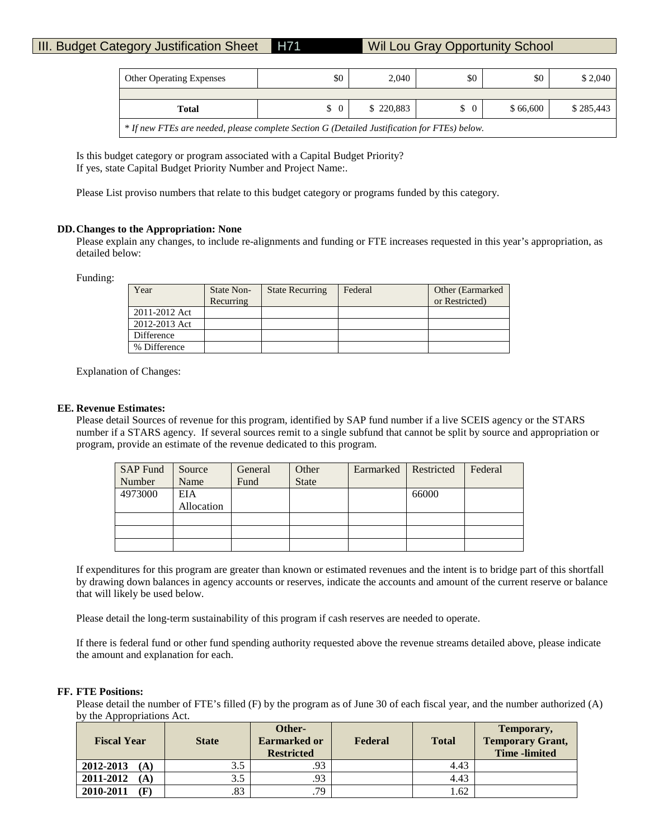| <b>Other Operating Expenses</b> | \$0                                                                                          | 2.040     | \$0      | \$0      | \$2,040   |  |  |  |  |  |
|---------------------------------|----------------------------------------------------------------------------------------------|-----------|----------|----------|-----------|--|--|--|--|--|
|                                 |                                                                                              |           |          |          |           |  |  |  |  |  |
| <b>Total</b>                    | $\Omega$<br>S                                                                                | \$220,883 | $\Omega$ | \$66,600 | \$285,443 |  |  |  |  |  |
|                                 | * If new FTEs are needed, please complete Section G (Detailed Justification for FTEs) below. |           |          |          |           |  |  |  |  |  |

Is this budget category or program associated with a Capital Budget Priority? If yes, state Capital Budget Priority Number and Project Name:.

Please List proviso numbers that relate to this budget category or programs funded by this category.

#### **DD.Changes to the Appropriation: None**

Please explain any changes, to include re-alignments and funding or FTE increases requested in this year's appropriation, as detailed below:

Funding:

| Year          | State Non-<br>Recurring | <b>State Recurring</b> | Federal | Other (Earmarked)<br>or Restricted) |
|---------------|-------------------------|------------------------|---------|-------------------------------------|
| 2011-2012 Act |                         |                        |         |                                     |
| 2012-2013 Act |                         |                        |         |                                     |
| Difference    |                         |                        |         |                                     |
| % Difference  |                         |                        |         |                                     |

Explanation of Changes:

#### **EE. Revenue Estimates:**

Please detail Sources of revenue for this program, identified by SAP fund number if a live SCEIS agency or the STARS number if a STARS agency. If several sources remit to a single subfund that cannot be split by source and appropriation or program, provide an estimate of the revenue dedicated to this program.

| <b>SAP Fund</b> | Source     | General | Other        | Earmarked | Restricted | Federal |
|-----------------|------------|---------|--------------|-----------|------------|---------|
| Number          | Name       | Fund    | <b>State</b> |           |            |         |
| 4973000         | EIA        |         |              |           | 66000      |         |
|                 | Allocation |         |              |           |            |         |
|                 |            |         |              |           |            |         |
|                 |            |         |              |           |            |         |
|                 |            |         |              |           |            |         |

If expenditures for this program are greater than known or estimated revenues and the intent is to bridge part of this shortfall by drawing down balances in agency accounts or reserves, indicate the accounts and amount of the current reserve or balance that will likely be used below.

Please detail the long-term sustainability of this program if cash reserves are needed to operate.

If there is federal fund or other fund spending authority requested above the revenue streams detailed above, please indicate the amount and explanation for each.

#### **FF. FTE Positions:**

Please detail the number of FTE's filled (F) by the program as of June 30 of each fiscal year, and the number authorized (A) by the Appropriations Act.

| <b>Fiscal Year</b> | <b>State</b> | Other-<br><b>Earmarked or</b><br><b>Restricted</b> | Federal | <b>Total</b> | Temporary,<br><b>Temporary Grant,</b><br><b>Time</b> -limited |
|--------------------|--------------|----------------------------------------------------|---------|--------------|---------------------------------------------------------------|
| 2012-2013<br>(A)   | 3.5          | .93                                                |         | 4.43         |                                                               |
| 2011-2012<br>(A)   | 3.5          | .93                                                |         | 4.43         |                                                               |
| 2010-2011<br>F     | .83          | .79                                                |         | 1.62         |                                                               |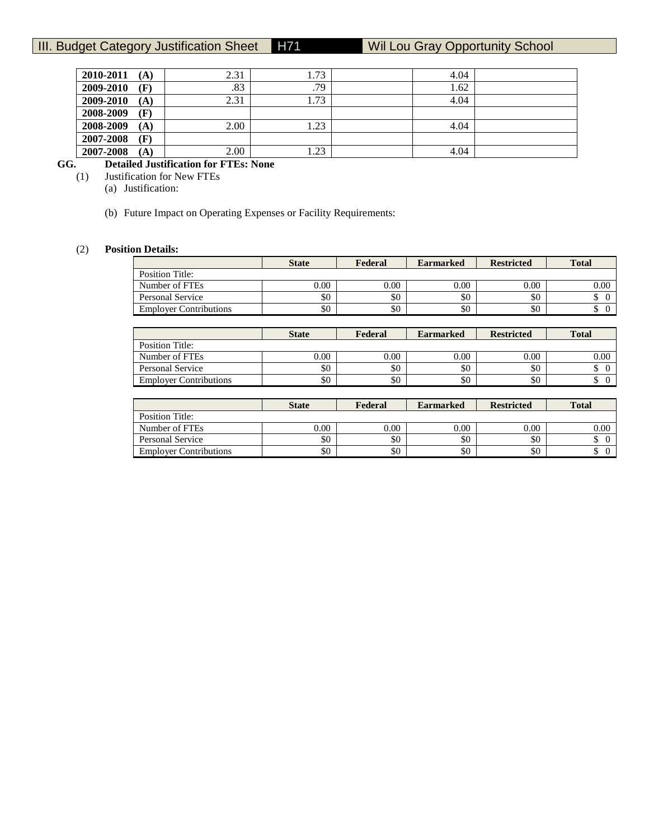| 2010-2011<br>(A) | 2.31 | 1.73 | 4.04 |  |
|------------------|------|------|------|--|
| 2009-2010<br>(F) | .83  | .79  | 1.62 |  |
| 2009-2010<br>(A) | 2.31 | 1.73 | 4.04 |  |
| 2008-2009<br>(F) |      |      |      |  |
| 2008-2009<br>(A) | 2.00 | 1.23 | 4.04 |  |
| 2007-2008<br>(F) |      |      |      |  |
| 2007-2008<br>(A) | 2.00 | .23  | 4.04 |  |

# **GG. Detailed Justification for FTEs: None**

**Justification for New FTEs** 

(a) Justification:

(b) Future Impact on Operating Expenses or Facility Requirements:

# (2) **Position Details:**

|                               | <b>State</b> | Federal | <b>Earmarked</b> | <b>Restricted</b> | <b>Total</b> |
|-------------------------------|--------------|---------|------------------|-------------------|--------------|
| Position Title:               |              |         |                  |                   |              |
| Number of FTEs                | 0.00         | 0.00    | 0.00             | 0.00              | 0.00         |
| Personal Service              | \$0          | \$0     | \$0              | \$0               |              |
| <b>Employer Contributions</b> | \$0          | \$0     | \$0              | \$0               |              |

|                               | <b>State</b> | Federal | <b>Earmarked</b> | <b>Restricted</b> | <b>Total</b> |
|-------------------------------|--------------|---------|------------------|-------------------|--------------|
| Position Title:               |              |         |                  |                   |              |
| Number of FTEs                | $0.00\,$     | 0.00    | 0.00             | 0.00              | $0.00\,$     |
| <b>Personal Service</b>       | \$0          | \$0     | \$0              | \$0               |              |
| <b>Employer Contributions</b> | \$0          | \$0     | \$0              | \$0               |              |

|                               | <b>State</b> | Federal  | <b>Earmarked</b> | <b>Restricted</b> | <b>Total</b> |
|-------------------------------|--------------|----------|------------------|-------------------|--------------|
| Position Title:               |              |          |                  |                   |              |
| Number of FTEs                | 0.00         | $0.00\,$ | 0.00             | 0.00              | 0.00         |
| Personal Service              | \$0          | \$0      | \$0              | \$0               |              |
| <b>Employer Contributions</b> | \$0          | \$0      | \$0              | \$0               | ╜            |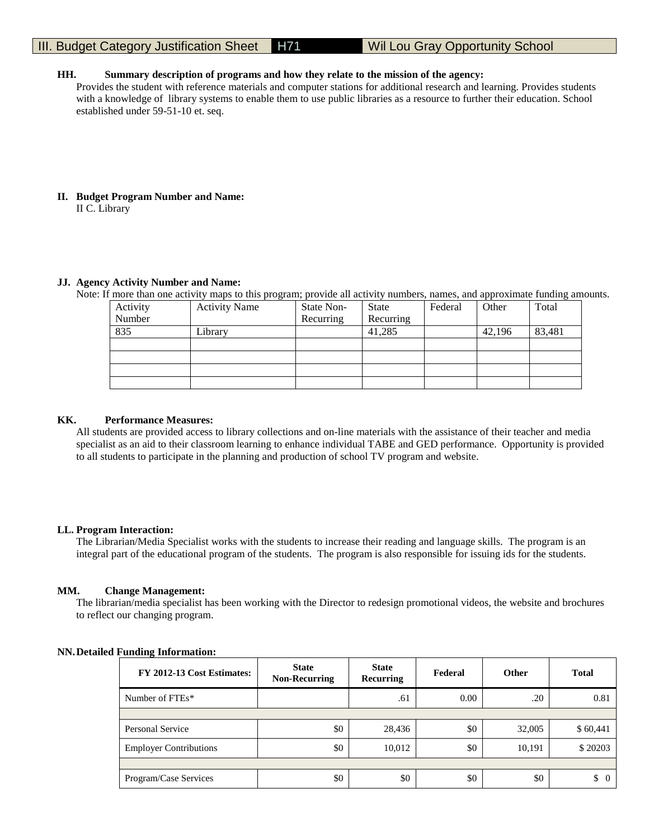#### **HH. Summary description of programs and how they relate to the mission of the agency:**

Provides the student with reference materials and computer stations for additional research and learning. Provides students with a knowledge of library systems to enable them to use public libraries as a resource to further their education. School established under 59-51-10 et. seq.

#### **II. Budget Program Number and Name:** II C. Library

#### **JJ. Agency Activity Number and Name:**

Note: If more than one activity maps to this program; provide all activity numbers, names, and approximate funding amounts.

| Activity | <b>Activity Name</b> | State Non- | <b>State</b> | Federal | Other  | Total  |
|----------|----------------------|------------|--------------|---------|--------|--------|
| Number   |                      | Recurring  | Recurring    |         |        |        |
| 835      | $\iota$ ibrary       |            | 41,285       |         | 42,196 | 83,481 |
|          |                      |            |              |         |        |        |
|          |                      |            |              |         |        |        |
|          |                      |            |              |         |        |        |
|          |                      |            |              |         |        |        |

#### **KK. Performance Measures:**

All students are provided access to library collections and on-line materials with the assistance of their teacher and media specialist as an aid to their classroom learning to enhance individual TABE and GED performance. Opportunity is provided to all students to participate in the planning and production of school TV program and website.

#### **LL. Program Interaction:**

The Librarian/Media Specialist works with the students to increase their reading and language skills. The program is an integral part of the educational program of the students. The program is also responsible for issuing ids for the students.

#### **MM. Change Management:**

The librarian/media specialist has been working with the Director to redesign promotional videos, the website and brochures to reflect our changing program.

#### **NN.Detailed Funding Information:**

| FY 2012-13 Cost Estimates:    | <b>State</b><br><b>Non-Recurring</b> | <b>State</b><br>Recurring | Federal | Other  | <b>Total</b>   |
|-------------------------------|--------------------------------------|---------------------------|---------|--------|----------------|
| Number of FTEs*               |                                      | .61                       | 0.00    | .20    | 0.81           |
|                               |                                      |                           |         |        |                |
| Personal Service              | \$0                                  | 28,436                    | \$0     | 32,005 | \$60,441       |
| <b>Employer Contributions</b> | \$0                                  | 10,012                    | \$0     | 10,191 | \$20203        |
|                               |                                      |                           |         |        |                |
| Program/Case Services         | \$0                                  | \$0                       | \$0     | \$0    | \$<br>$\Omega$ |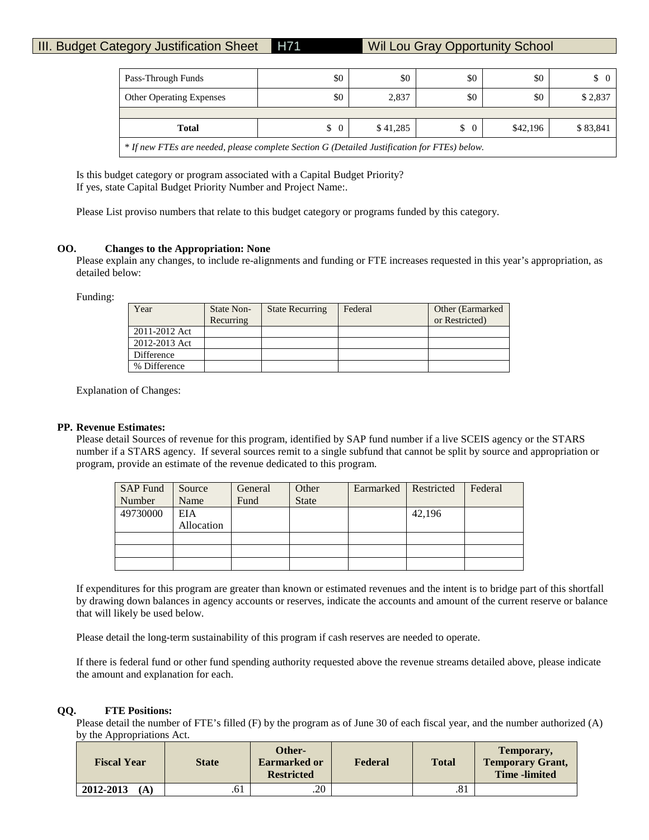| Pass-Through Funds                                                                           | \$0 | \$0   | \$0 | \$0 | $\begin{matrix} 0 \end{matrix}$ |  |  |  |  |
|----------------------------------------------------------------------------------------------|-----|-------|-----|-----|---------------------------------|--|--|--|--|
| <b>Other Operating Expenses</b>                                                              | \$0 | 2,837 | \$0 | \$0 | \$2,837                         |  |  |  |  |
|                                                                                              |     |       |     |     |                                 |  |  |  |  |
| \$41,285<br>\$42,196<br>\$83,841<br>$\frac{1}{2}$<br>\$<br><b>Total</b><br>$\Omega$          |     |       |     |     |                                 |  |  |  |  |
| * If new FTEs are needed, please complete Section G (Detailed Justification for FTEs) below. |     |       |     |     |                                 |  |  |  |  |

Is this budget category or program associated with a Capital Budget Priority? If yes, state Capital Budget Priority Number and Project Name:.

Please List proviso numbers that relate to this budget category or programs funded by this category.

#### **OO. Changes to the Appropriation: None**

Please explain any changes, to include re-alignments and funding or FTE increases requested in this year's appropriation, as detailed below:

Funding:

| Year          | State Non-<br>Recurring | <b>State Recurring</b> | Federal | Other (Earmarked)<br>or Restricted) |
|---------------|-------------------------|------------------------|---------|-------------------------------------|
|               |                         |                        |         |                                     |
| 2011-2012 Act |                         |                        |         |                                     |
| 2012-2013 Act |                         |                        |         |                                     |
| Difference    |                         |                        |         |                                     |
| % Difference  |                         |                        |         |                                     |

Explanation of Changes:

#### **PP. Revenue Estimates:**

Please detail Sources of revenue for this program, identified by SAP fund number if a live SCEIS agency or the STARS number if a STARS agency. If several sources remit to a single subfund that cannot be split by source and appropriation or program, provide an estimate of the revenue dedicated to this program.

| <b>SAP Fund</b> | Source     | General | Other        | Earmarked | Restricted | Federal |
|-----------------|------------|---------|--------------|-----------|------------|---------|
| Number          | Name       | Fund    | <b>State</b> |           |            |         |
| 49730000        | <b>EIA</b> |         |              |           | 42,196     |         |
|                 | Allocation |         |              |           |            |         |
|                 |            |         |              |           |            |         |
|                 |            |         |              |           |            |         |
|                 |            |         |              |           |            |         |

If expenditures for this program are greater than known or estimated revenues and the intent is to bridge part of this shortfall by drawing down balances in agency accounts or reserves, indicate the accounts and amount of the current reserve or balance that will likely be used below.

Please detail the long-term sustainability of this program if cash reserves are needed to operate.

If there is federal fund or other fund spending authority requested above the revenue streams detailed above, please indicate the amount and explanation for each.

#### **QQ. FTE Positions:**

Please detail the number of FTE's filled (F) by the program as of June 30 of each fiscal year, and the number authorized (A) by the Appropriations Act.

| <b>Fiscal Year</b> | <b>State</b> | Other-<br><b>Earmarked or</b><br><b>Restricted</b> | Federal | <b>Total</b> | Temporary,<br><b>Temporary Grant,</b><br><b>Time</b> -limited |
|--------------------|--------------|----------------------------------------------------|---------|--------------|---------------------------------------------------------------|
| 2012-2013<br>(A)   | .61          | .20                                                |         | .81          |                                                               |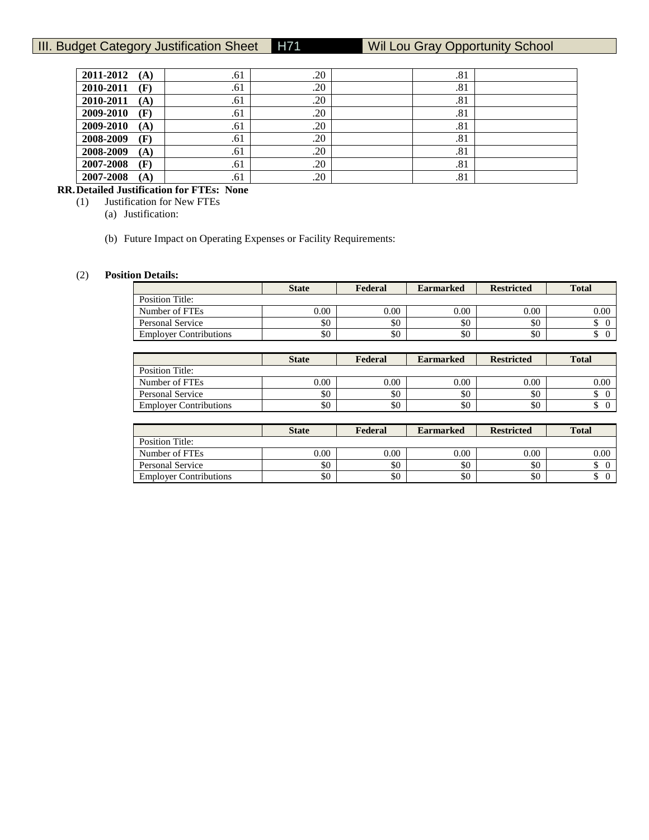| .61 | .20 |     |                                                      |
|-----|-----|-----|------------------------------------------------------|
| .61 | .20 |     |                                                      |
| .61 | .20 |     |                                                      |
| .61 | .20 |     |                                                      |
| .61 | .20 |     |                                                      |
| .61 | .20 |     |                                                      |
| .61 | .20 | .81 |                                                      |
| .61 | .20 |     |                                                      |
| .61 | .20 |     |                                                      |
|     |     |     | .81<br>.81<br>.81<br>.81<br>.81<br>.81<br>.81<br>.81 |

# **RR.Detailed Justification for FTEs: None**

(1) Justification for New FTEs

(a) Justification:

(b) Future Impact on Operating Expenses or Facility Requirements:

### (2) **Position Details:**

|                               | <b>State</b> | Federal | <b>Earmarked</b> | <b>Restricted</b> | <b>Total</b> |
|-------------------------------|--------------|---------|------------------|-------------------|--------------|
| Position Title:               |              |         |                  |                   |              |
| Number of FTEs                | 0.00         | 0.00    | 0.00             | 0.00              | 0.00         |
| Personal Service              | \$0          | \$0     | \$0              | \$0               |              |
| <b>Employer Contributions</b> | \$0          | \$0     | \$0              | \$0               | ╜            |

|                               | <b>State</b> | Federal | <b>Earmarked</b> | <b>Restricted</b> | <b>Total</b> |
|-------------------------------|--------------|---------|------------------|-------------------|--------------|
| Position Title:               |              |         |                  |                   |              |
| Number of FTEs                | 0.00         | 0.00    | 0.00             | 0.00              | 0.00         |
| Personal Service              | \$0          | \$0     | \$0              | \$0               | D            |
| <b>Employer Contributions</b> | \$0          | \$0     | \$0              | \$0               | D            |

|                               | <b>State</b> | Federal | <b>Earmarked</b> | <b>Restricted</b> | <b>Total</b> |
|-------------------------------|--------------|---------|------------------|-------------------|--------------|
| Position Title:               |              |         |                  |                   |              |
| Number of FTEs                | $0.00\,$     | 0.00    | 0.00             | 0.00              | 0.00         |
| Personal Service              | \$0          | \$0     | \$0              | \$0               |              |
| <b>Employer Contributions</b> | \$0          | \$0     | \$0              | \$0               | ╜            |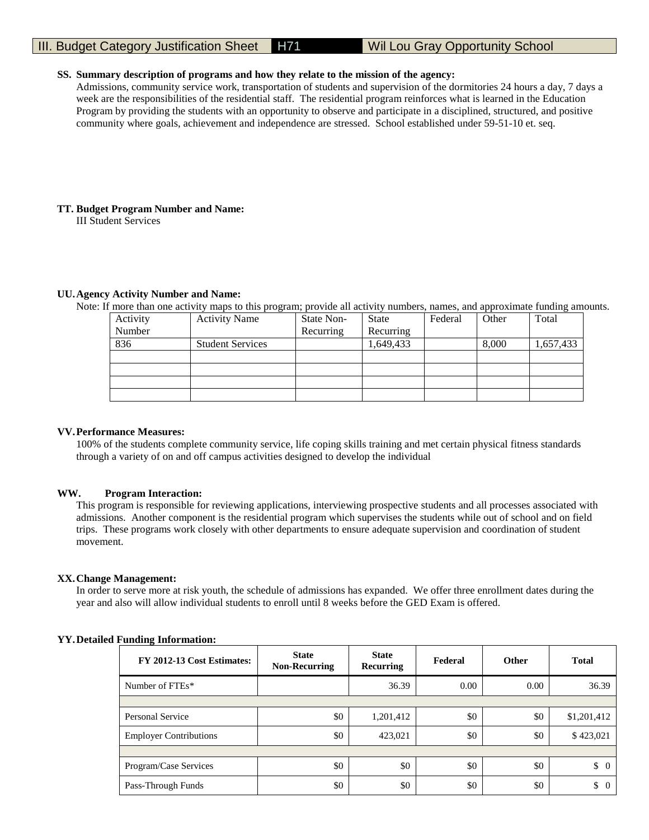#### **SS. Summary description of programs and how they relate to the mission of the agency:**

Admissions, community service work, transportation of students and supervision of the dormitories 24 hours a day, 7 days a week are the responsibilities of the residential staff. The residential program reinforces what is learned in the Education Program by providing the students with an opportunity to observe and participate in a disciplined, structured, and positive community where goals, achievement and independence are stressed. School established under 59-51-10 et. seq.

#### **TT. Budget Program Number and Name:**

III Student Services

#### **UU.Agency Activity Number and Name:**

Note: If more than one activity maps to this program; provide all activity numbers, names, and approximate funding amounts.

| Activity | <b>Activity Name</b>    | State Non- | State     | Federal | Other | Total     |
|----------|-------------------------|------------|-----------|---------|-------|-----------|
| Number   |                         | Recurring  | Recurring |         |       |           |
| 836      | <b>Student Services</b> |            | 1,649,433 |         | 8,000 | 1,657,433 |
|          |                         |            |           |         |       |           |
|          |                         |            |           |         |       |           |
|          |                         |            |           |         |       |           |
|          |                         |            |           |         |       |           |

#### **VV.Performance Measures:**

100% of the students complete community service, life coping skills training and met certain physical fitness standards through a variety of on and off campus activities designed to develop the individual

#### **WW. Program Interaction:**

This program is responsible for reviewing applications, interviewing prospective students and all processes associated with admissions. Another component is the residential program which supervises the students while out of school and on field trips. These programs work closely with other departments to ensure adequate supervision and coordination of student movement.

#### **XX.Change Management:**

In order to serve more at risk youth, the schedule of admissions has expanded. We offer three enrollment dates during the year and also will allow individual students to enroll until 8 weeks before the GED Exam is offered.

#### **YY.Detailed Funding Information:**

| FY 2012-13 Cost Estimates:    | <b>State</b><br><b>Non-Recurring</b> | <b>State</b><br><b>Recurring</b> | Federal | <b>Other</b> | <b>Total</b>         |
|-------------------------------|--------------------------------------|----------------------------------|---------|--------------|----------------------|
| Number of FTEs*               |                                      | 36.39                            | 0.00    | 0.00         | 36.39                |
|                               |                                      |                                  |         |              |                      |
| Personal Service              | \$0                                  | 1,201,412                        | \$0     | \$0          | \$1,201,412          |
| <b>Employer Contributions</b> | \$0                                  | 423,021                          | \$0     | \$0          | \$423,021            |
|                               |                                      |                                  |         |              |                      |
| Program/Case Services         | \$0                                  | \$0                              | \$0     | \$0          | \$<br>$\overline{0}$ |
| Pass-Through Funds            | \$0                                  | \$0                              | \$0     | \$0          | \$<br>$\overline{0}$ |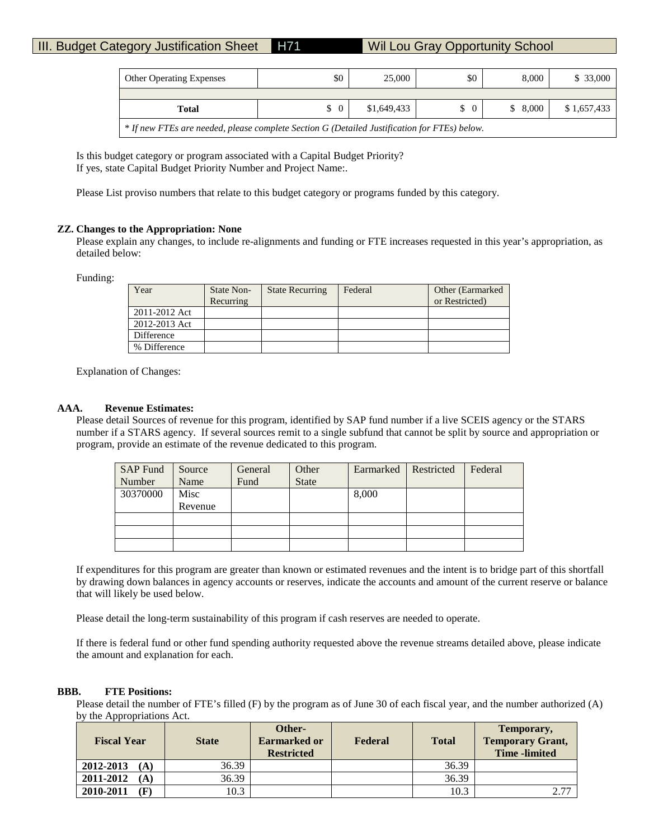| <b>Other Operating Expenses</b>                                                              | \$0           | 25,000      | \$0            | 8,000   | \$33,000    |  |  |  |
|----------------------------------------------------------------------------------------------|---------------|-------------|----------------|---------|-------------|--|--|--|
|                                                                                              |               |             |                |         |             |  |  |  |
| <b>Total</b>                                                                                 | $\frac{1}{2}$ | \$1,649,433 | $\overline{0}$ | \$8,000 | \$1,657,433 |  |  |  |
| * If new FTEs are needed, please complete Section G (Detailed Justification for FTEs) below. |               |             |                |         |             |  |  |  |

Is this budget category or program associated with a Capital Budget Priority? If yes, state Capital Budget Priority Number and Project Name:.

Please List proviso numbers that relate to this budget category or programs funded by this category.

#### **ZZ. Changes to the Appropriation: None**

Please explain any changes, to include re-alignments and funding or FTE increases requested in this year's appropriation, as detailed below:

Funding:

| Year          | State Non- | <b>State Recurring</b> | Federal | Other (Earmarked) |
|---------------|------------|------------------------|---------|-------------------|
|               | Recurring  |                        |         | or Restricted)    |
| 2011-2012 Act |            |                        |         |                   |
| 2012-2013 Act |            |                        |         |                   |
| Difference    |            |                        |         |                   |
| % Difference  |            |                        |         |                   |

Explanation of Changes:

#### **AAA. Revenue Estimates:**

Please detail Sources of revenue for this program, identified by SAP fund number if a live SCEIS agency or the STARS number if a STARS agency. If several sources remit to a single subfund that cannot be split by source and appropriation or program, provide an estimate of the revenue dedicated to this program.

| <b>SAP Fund</b> | Source  | General | Other        | Earmarked | Restricted | Federal |
|-----------------|---------|---------|--------------|-----------|------------|---------|
| Number          | Name    | Fund    | <b>State</b> |           |            |         |
| 30370000        | Misc    |         |              | 8,000     |            |         |
|                 | Revenue |         |              |           |            |         |
|                 |         |         |              |           |            |         |
|                 |         |         |              |           |            |         |
|                 |         |         |              |           |            |         |

If expenditures for this program are greater than known or estimated revenues and the intent is to bridge part of this shortfall by drawing down balances in agency accounts or reserves, indicate the accounts and amount of the current reserve or balance that will likely be used below.

Please detail the long-term sustainability of this program if cash reserves are needed to operate.

If there is federal fund or other fund spending authority requested above the revenue streams detailed above, please indicate the amount and explanation for each.

#### **BBB. FTE Positions:**

Please detail the number of FTE's filled (F) by the program as of June 30 of each fiscal year, and the number authorized (A) by the Appropriations Act.

| <b>Fiscal Year</b>          | <b>State</b> |  | Federal | <b>Total</b> | Temporary,<br><b>Temporary Grant,</b><br><b>Time</b> -limited |
|-----------------------------|--------------|--|---------|--------------|---------------------------------------------------------------|
| 2012-2013<br>(A)            | 36.39        |  |         | 36.39        |                                                               |
| 2011-2012<br>(A)            | 36.39        |  |         | 36.39        |                                                               |
| 2010-2011<br>$(\mathbf{F})$ | 10.3         |  |         | 10.3         | 2.77                                                          |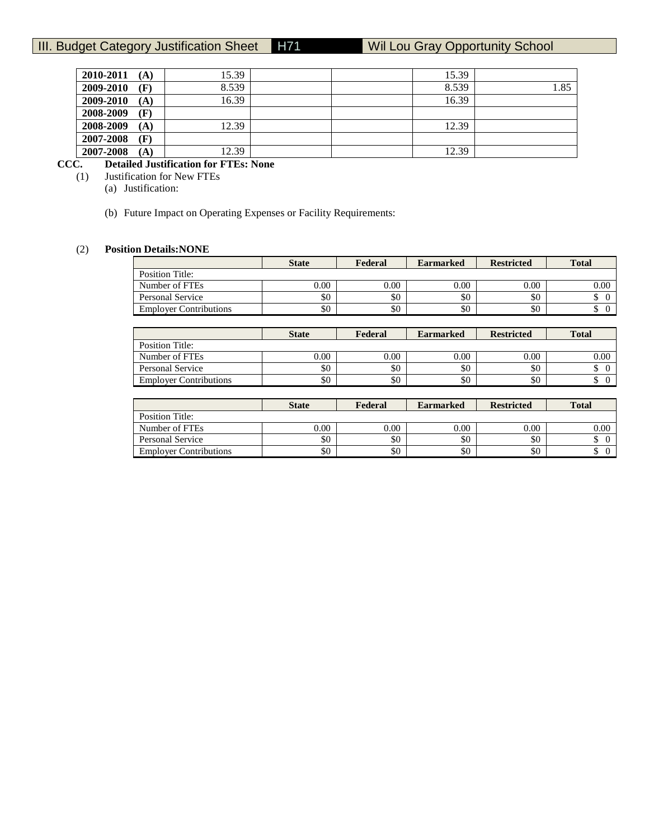| 2010-2011<br>(A) | 15.39 | 15.39 |      |
|------------------|-------|-------|------|
| 2009-2010<br>(F) | 8.539 | 8.539 | 1.85 |
| 2009-2010<br>(A) | 16.39 | 16.39 |      |
| 2008-2009<br>(F) |       |       |      |
| 2008-2009<br>(A) | 12.39 | 12.39 |      |
| 2007-2008<br>(F) |       |       |      |
| 2007-2008<br>(A) | 12.39 | 12.39 |      |

# **CCC. Detailed Justification for FTEs: None**

(1) Justification for New FTEs

(a) Justification:

(b) Future Impact on Operating Expenses or Facility Requirements:

# (2) **Position Details:NONE**

|                               | <b>State</b> | Federal | <b>Earmarked</b> | <b>Restricted</b> | <b>Total</b> |
|-------------------------------|--------------|---------|------------------|-------------------|--------------|
| Position Title:               |              |         |                  |                   |              |
| Number of FTEs                | 0.00         | 0.00    | 0.00             | 0.00              | 0.00         |
| Personal Service              | \$0          | \$0     | \$0              | \$0               |              |
| <b>Employer Contributions</b> | \$0          | \$0     | \$0              | \$0               |              |

|                               | <b>State</b> | Federal | <b>Earmarked</b> | <b>Restricted</b> | <b>Total</b> |
|-------------------------------|--------------|---------|------------------|-------------------|--------------|
| Position Title:               |              |         |                  |                   |              |
| Number of FTEs                | 0.00         | 0.00    | 0.00             | 0.00              | 0.00         |
| Personal Service              | \$0          | \$0     | \$0              | \$0               |              |
| <b>Employer Contributions</b> | \$0          | \$0     | \$0              | \$0               |              |

|                               | <b>State</b> | Federal  | <b>Earmarked</b> | <b>Restricted</b> | <b>Total</b> |
|-------------------------------|--------------|----------|------------------|-------------------|--------------|
| Position Title:               |              |          |                  |                   |              |
| Number of FTEs                | 0.00         | $0.00\,$ | 0.00             | 0.00              | 0.00         |
| Personal Service              | \$0          | \$0      | \$0              | \$0               |              |
| <b>Employer Contributions</b> | \$0          | \$0      | \$0              | \$0               | ╜            |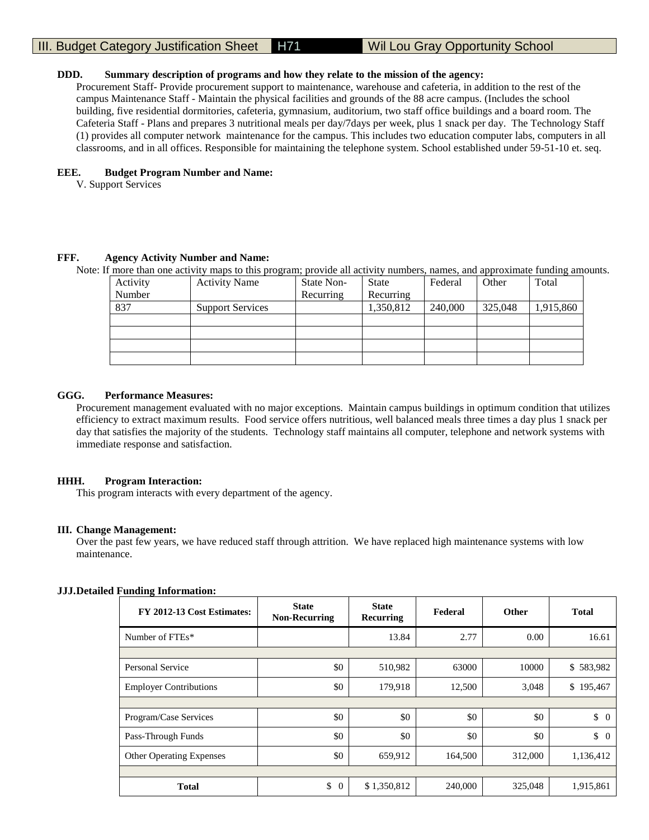#### **DDD. Summary description of programs and how they relate to the mission of the agency:**

Procurement Staff- Provide procurement support to maintenance, warehouse and cafeteria, in addition to the rest of the campus Maintenance Staff - Maintain the physical facilities and grounds of the 88 acre campus. (Includes the school building, five residential dormitories, cafeteria, gymnasium, auditorium, two staff office buildings and a board room. The Cafeteria Staff - Plans and prepares 3 nutritional meals per day/7days per week, plus 1 snack per day. The Technology Staff (1) provides all computer network maintenance for the campus. This includes two education computer labs, computers in all classrooms, and in all offices. Responsible for maintaining the telephone system. School established under 59-51-10 et. seq.

#### **EEE. Budget Program Number and Name:**

V. Support Services

#### **FFF. Agency Activity Number and Name:**

Note: If more than one activity maps to this program; provide all activity numbers, names, and approximate funding amounts.

| Activity | <b>Activity Name</b>    | State Non- | State     | Federal | Other   | Total     |
|----------|-------------------------|------------|-----------|---------|---------|-----------|
| Number   |                         | Recurring  | Recurring |         |         |           |
| 837      | <b>Support Services</b> |            | 1,350,812 | 240,000 | 325,048 | 1,915,860 |
|          |                         |            |           |         |         |           |
|          |                         |            |           |         |         |           |
|          |                         |            |           |         |         |           |
|          |                         |            |           |         |         |           |

#### **GGG. Performance Measures:**

Procurement management evaluated with no major exceptions. Maintain campus buildings in optimum condition that utilizes efficiency to extract maximum results. Food service offers nutritious, well balanced meals three times a day plus 1 snack per day that satisfies the majority of the students. Technology staff maintains all computer, telephone and network systems with immediate response and satisfaction.

#### **HHH. Program Interaction:**

This program interacts with every department of the agency.

#### **III. Change Management:**

Over the past few years, we have reduced staff through attrition. We have replaced high maintenance systems with low maintenance.

#### **JJJ.Detailed Funding Information:**

| 0<br>FY 2012-13 Cost Estimates: | <b>State</b><br><b>Non-Recurring</b> | <b>State</b><br>Recurring | Federal | <b>Other</b> | <b>Total</b>     |
|---------------------------------|--------------------------------------|---------------------------|---------|--------------|------------------|
| Number of FTEs*                 |                                      | 13.84                     | 2.77    | 0.00         | 16.61            |
|                                 |                                      |                           |         |              |                  |
| Personal Service                | \$0                                  | 510,982                   | 63000   | 10000        | \$583,982        |
| <b>Employer Contributions</b>   | \$0                                  | 179,918                   | 12,500  | 3,048        | \$195,467        |
|                                 |                                      |                           |         |              |                  |
| Program/Case Services           | \$0                                  | \$0                       | \$0     | \$0          | $\updownarrow$ 0 |
| Pass-Through Funds              | \$0                                  | \$0                       | \$0     | \$0          | \$<br>$\Omega$   |
| <b>Other Operating Expenses</b> | \$0                                  | 659,912                   | 164,500 | 312,000      | 1,136,412        |
|                                 |                                      |                           |         |              |                  |
| <b>Total</b>                    | \$<br>$\theta$                       | \$1,350,812               | 240,000 | 325,048      | 1,915,861        |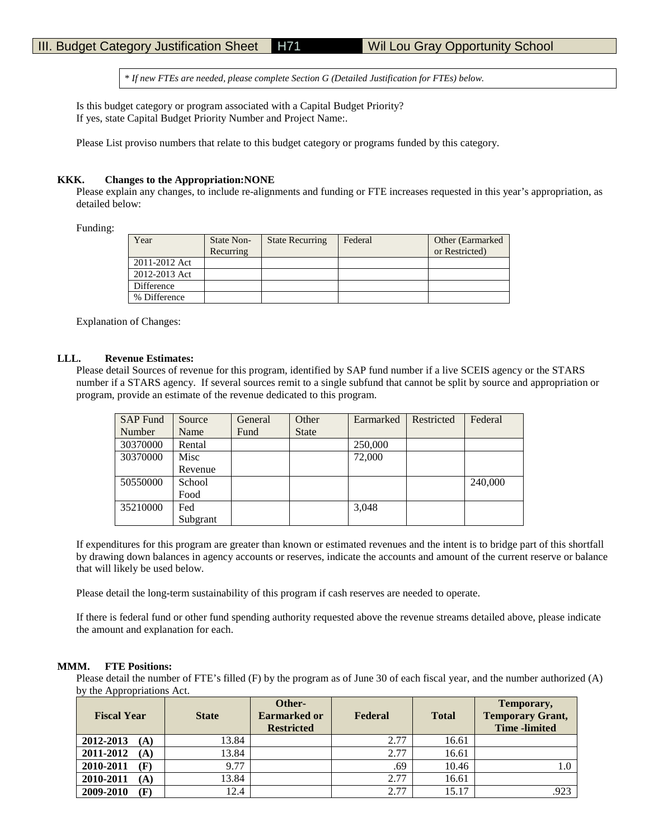\* *If new FTEs are needed, please complete Section G (Detailed Justification for FTEs) below.*

Is this budget category or program associated with a Capital Budget Priority? If yes, state Capital Budget Priority Number and Project Name:.

Please List proviso numbers that relate to this budget category or programs funded by this category.

#### **KKK. Changes to the Appropriation:NONE**

Please explain any changes, to include re-alignments and funding or FTE increases requested in this year's appropriation, as detailed below:

Funding:

| Year          | State Non- | <b>State Recurring</b> | Federal | Other (Earmarked) |
|---------------|------------|------------------------|---------|-------------------|
|               | Recurring  |                        |         | or Restricted)    |
| 2011-2012 Act |            |                        |         |                   |
| 2012-2013 Act |            |                        |         |                   |
| Difference    |            |                        |         |                   |
| % Difference  |            |                        |         |                   |

Explanation of Changes:

#### **LLL. Revenue Estimates:**

Please detail Sources of revenue for this program, identified by SAP fund number if a live SCEIS agency or the STARS number if a STARS agency. If several sources remit to a single subfund that cannot be split by source and appropriation or program, provide an estimate of the revenue dedicated to this program.

| <b>SAP</b> Fund | Source   | General | Other        | Earmarked | Restricted | Federal |
|-----------------|----------|---------|--------------|-----------|------------|---------|
| Number          | Name     | Fund    | <b>State</b> |           |            |         |
| 30370000        | Rental   |         |              | 250,000   |            |         |
| 30370000        | Misc     |         |              | 72,000    |            |         |
|                 | Revenue  |         |              |           |            |         |
| 50550000        | School   |         |              |           |            | 240,000 |
|                 | Food     |         |              |           |            |         |
| 35210000        | Fed      |         |              | 3,048     |            |         |
|                 | Subgrant |         |              |           |            |         |

If expenditures for this program are greater than known or estimated revenues and the intent is to bridge part of this shortfall by drawing down balances in agency accounts or reserves, indicate the accounts and amount of the current reserve or balance that will likely be used below.

Please detail the long-term sustainability of this program if cash reserves are needed to operate.

If there is federal fund or other fund spending authority requested above the revenue streams detailed above, please indicate the amount and explanation for each.

#### **MMM. FTE Positions:**

Please detail the number of FTE's filled (F) by the program as of June 30 of each fiscal year, and the number authorized (A) by the Appropriations Act.

| $\mathbf{1}$<br><b>Fiscal Year</b> | <b>State</b> | Other-<br><b>Earmarked or</b><br><b>Restricted</b> | Federal | <b>Total</b> | Temporary,<br><b>Temporary Grant,</b><br><b>Time</b> -limited |
|------------------------------------|--------------|----------------------------------------------------|---------|--------------|---------------------------------------------------------------|
| 2012-2013<br>(A)                   | 13.84        |                                                    | 2.77    | 16.61        |                                                               |
| 2011-2012<br>(A)                   | 13.84        |                                                    | 2.77    | 16.61        |                                                               |
| 2010-2011<br>(F)                   | 9.77         |                                                    | .69     | 10.46        |                                                               |
| 2010-2011<br>(A)                   | 13.84        |                                                    | 2.77    | 16.61        |                                                               |
| 2009-2010<br>(F)                   | 12.4         |                                                    | 2.77    | 15.17        | .923                                                          |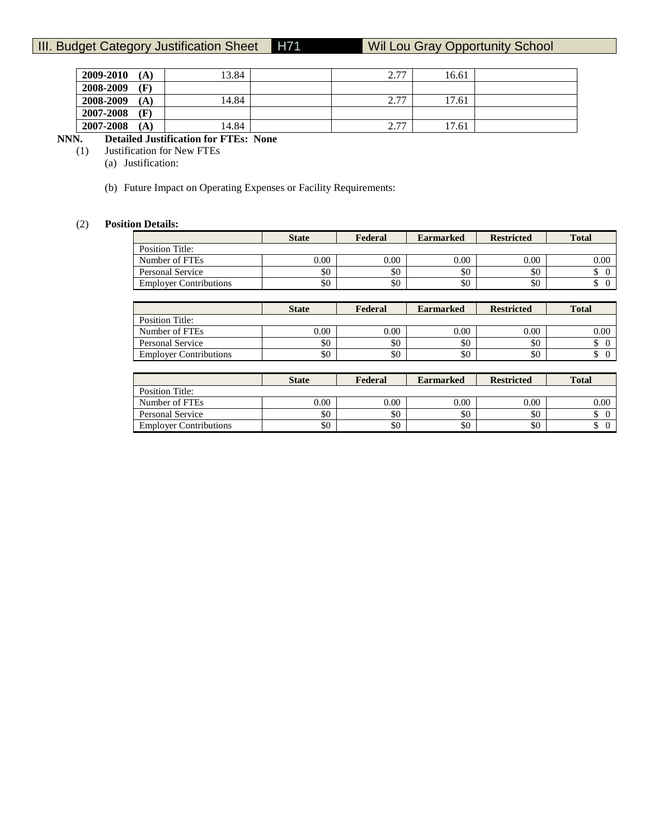| 2009-2010<br>íΑ             | 13.84 | 27<br>، ، ،                   | 16.61 |  |
|-----------------------------|-------|-------------------------------|-------|--|
| 2008-2009<br>$(\mathbf{F})$ |       |                               |       |  |
| 2008-2009<br>íΑ             | 14.84 | 277<br>، ۱                    | 17.61 |  |
| 2007-2008<br>$(\mathbf{F})$ |       |                               |       |  |
| 2007-2008<br>íΑ             | 14.84 | 277<br>$\sim$ $\cdot$ $\cdot$ | 17.61 |  |

# **NNN. Detailed Justification for FTEs: None**

(1) Justification for New FTEs

(a) Justification:

(b) Future Impact on Operating Expenses or Facility Requirements:

### (2) **Position Details:**

|                               | <b>State</b> | Federal | <b>Earmarked</b> | <b>Restricted</b> | <b>Total</b> |
|-------------------------------|--------------|---------|------------------|-------------------|--------------|
| Position Title:               |              |         |                  |                   |              |
| Number of FTEs                | $0.00\,$     | 0.00    | 0.00             | 0.00              | $0.00\,$     |
| Personal Service              | \$0          | \$0     | \$0              | \$0               |              |
| <b>Employer Contributions</b> | \$0          | \$0     | \$0              | \$0               |              |
|                               |              |         |                  |                   |              |

|                               | <b>State</b> | Federal | <b>Earmarked</b> | <b>Restricted</b> | <b>Total</b> |
|-------------------------------|--------------|---------|------------------|-------------------|--------------|
| Position Title:               |              |         |                  |                   |              |
| Number of FTEs                | 0.00         | 0.00    | 0.00             | 0.00              | 0.00         |
| Personal Service              | \$0          | \$0     | \$0              | \$0               |              |
| <b>Employer Contributions</b> | \$0          | \$0     | \$0              | \$0               | ╜            |

|                               | <b>State</b> | Federal  | <b>Earmarked</b> | <b>Restricted</b> | <b>Total</b> |
|-------------------------------|--------------|----------|------------------|-------------------|--------------|
| Position Title:               |              |          |                  |                   |              |
| Number of FTEs                | $0.00\,$     | $0.00\,$ | 0.00             | 0.00              | $0.00\,$     |
| Personal Service              | \$0          | \$0      | \$0              | \$0               |              |
| <b>Employer Contributions</b> | \$0          | \$0      | \$0              | \$0               |              |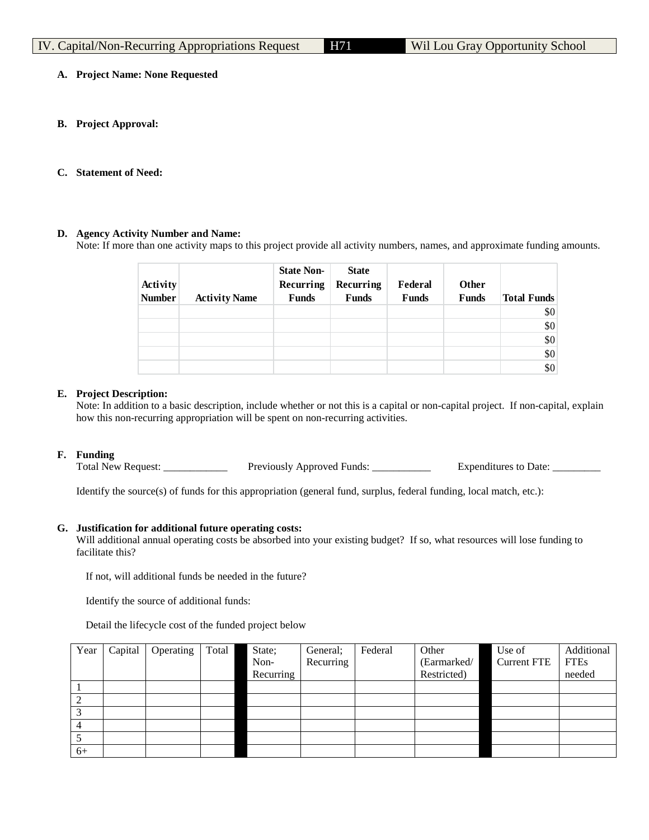# **A. Project Name: None Requested**

**B. Project Approval:**

# **C. Statement of Need:**

# **D. Agency Activity Number and Name:**

Note: If more than one activity maps to this project provide all activity numbers, names, and approximate funding amounts.

| Activity<br><b>Number</b> | <b>Activity Name</b> | <b>State Non-</b><br>Recurring<br><b>Funds</b> | <b>State</b><br>Recurring<br><b>Funds</b> | Federal<br><b>Funds</b> | <b>Other</b><br><b>Funds</b> | <b>Total Funds</b> |
|---------------------------|----------------------|------------------------------------------------|-------------------------------------------|-------------------------|------------------------------|--------------------|
|                           |                      |                                                |                                           |                         |                              | \$0                |
|                           |                      |                                                |                                           |                         |                              | \$0                |
|                           |                      |                                                |                                           |                         |                              | \$0                |
|                           |                      |                                                |                                           |                         |                              | \$0                |
|                           |                      |                                                |                                           |                         |                              | \$0                |

# **E. Project Description:**

Note: In addition to a basic description, include whether or not this is a capital or non-capital project. If non-capital, explain how this non-recurring appropriation will be spent on non-recurring activities.

# **F. Funding**

Total New Request: \_\_\_\_\_\_\_\_\_\_\_\_\_\_\_ Previously Approved Funds: \_\_\_\_\_\_\_\_\_\_\_\_ Expenditures to Date: \_\_\_\_\_\_\_

Identify the source(s) of funds for this appropriation (general fund, surplus, federal funding, local match, etc.):

#### **G. Justification for additional future operating costs:**

Will additional annual operating costs be absorbed into your existing budget? If so, what resources will lose funding to facilitate this?

If not, will additional funds be needed in the future?

Identify the source of additional funds:

Detail the lifecycle cost of the funded project below

| Year | Capital | Operating | Total | State;    | General;  | Federal | Other       | Use of             | Additional  |
|------|---------|-----------|-------|-----------|-----------|---------|-------------|--------------------|-------------|
|      |         |           |       | Non-      | Recurring |         | (Earmarked/ | <b>Current FTE</b> | <b>FTEs</b> |
|      |         |           |       | Recurring |           |         | Restricted) |                    | needed      |
|      |         |           |       |           |           |         |             |                    |             |
|      |         |           |       |           |           |         |             |                    |             |
|      |         |           |       |           |           |         |             |                    |             |
|      |         |           |       |           |           |         |             |                    |             |
|      |         |           |       |           |           |         |             |                    |             |
| $6+$ |         |           |       |           |           |         |             |                    |             |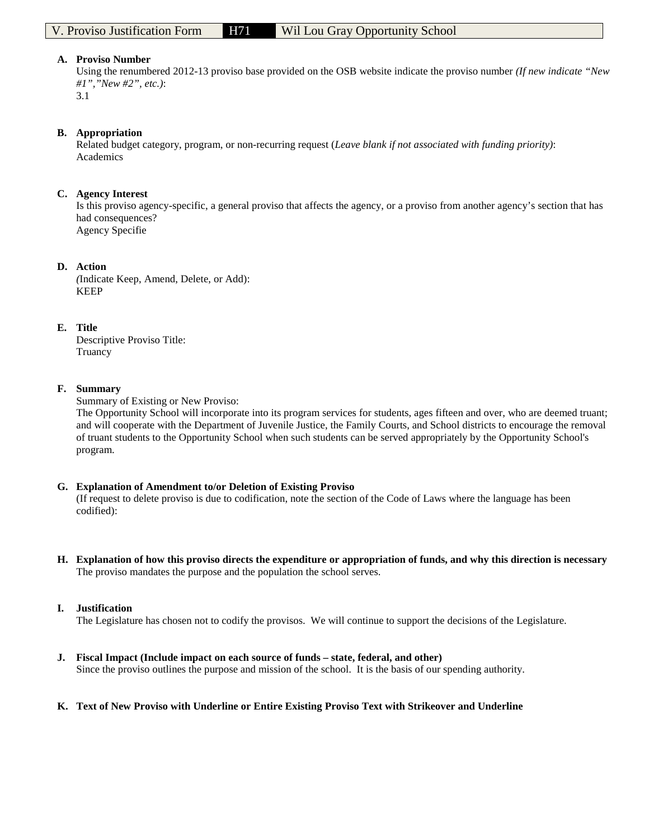Using the renumbered 2012-13 proviso base provided on the OSB website indicate the proviso number *(If new indicate "New #1","New #2", etc.)*: 3.1

#### **B. Appropriation**

Related budget category, program, or non-recurring request (*Leave blank if not associated with funding priority)*: Academics

#### **C. Agency Interest**

Is this proviso agency-specific, a general proviso that affects the agency, or a proviso from another agency's section that has had consequences? Agency Specifie

#### **D. Action**

*(*Indicate Keep, Amend, Delete, or Add): KEEP

#### **E. Title**

Descriptive Proviso Title: Truancy

#### **F. Summary**

Summary of Existing or New Proviso:

The Opportunity School will incorporate into its program services for students, ages fifteen and over, who are deemed truant; and will cooperate with the Department of Juvenile Justice, the Family Courts, and School districts to encourage the removal of truant students to the Opportunity School when such students can be served appropriately by the Opportunity School's program.

#### **G. Explanation of Amendment to/or Deletion of Existing Proviso**

(If request to delete proviso is due to codification, note the section of the Code of Laws where the language has been codified):

**H. Explanation of how this proviso directs the expenditure or appropriation of funds, and why this direction is necessary** The proviso mandates the purpose and the population the school serves.

#### **I. Justification**

The Legislature has chosen not to codify the provisos. We will continue to support the decisions of the Legislature.

**J. Fiscal Impact (Include impact on each source of funds – state, federal, and other)** Since the proviso outlines the purpose and mission of the school. It is the basis of our spending authority.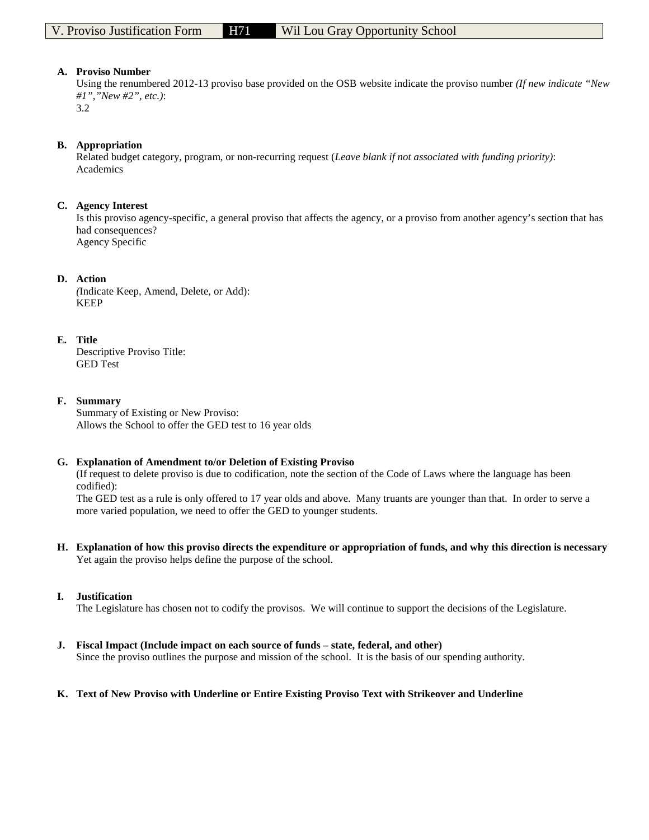Using the renumbered 2012-13 proviso base provided on the OSB website indicate the proviso number *(If new indicate "New #1","New #2", etc.)*: 3.2

### **B. Appropriation**

Related budget category, program, or non-recurring request (*Leave blank if not associated with funding priority)*: Academics

### **C. Agency Interest**

Is this proviso agency-specific, a general proviso that affects the agency, or a proviso from another agency's section that has had consequences? Agency Specific

### **D. Action**

*(*Indicate Keep, Amend, Delete, or Add): KEEP

### **E. Title**

Descriptive Proviso Title: GED Test

### **F. Summary**

Summary of Existing or New Proviso: Allows the School to offer the GED test to 16 year olds

#### **G. Explanation of Amendment to/or Deletion of Existing Proviso**

(If request to delete proviso is due to codification, note the section of the Code of Laws where the language has been codified):

The GED test as a rule is only offered to 17 year olds and above. Many truants are younger than that. In order to serve a more varied population, we need to offer the GED to younger students.

**H. Explanation of how this proviso directs the expenditure or appropriation of funds, and why this direction is necessary** Yet again the proviso helps define the purpose of the school.

# **I. Justification**

The Legislature has chosen not to codify the provisos. We will continue to support the decisions of the Legislature.

**J. Fiscal Impact (Include impact on each source of funds – state, federal, and other)** Since the proviso outlines the purpose and mission of the school. It is the basis of our spending authority.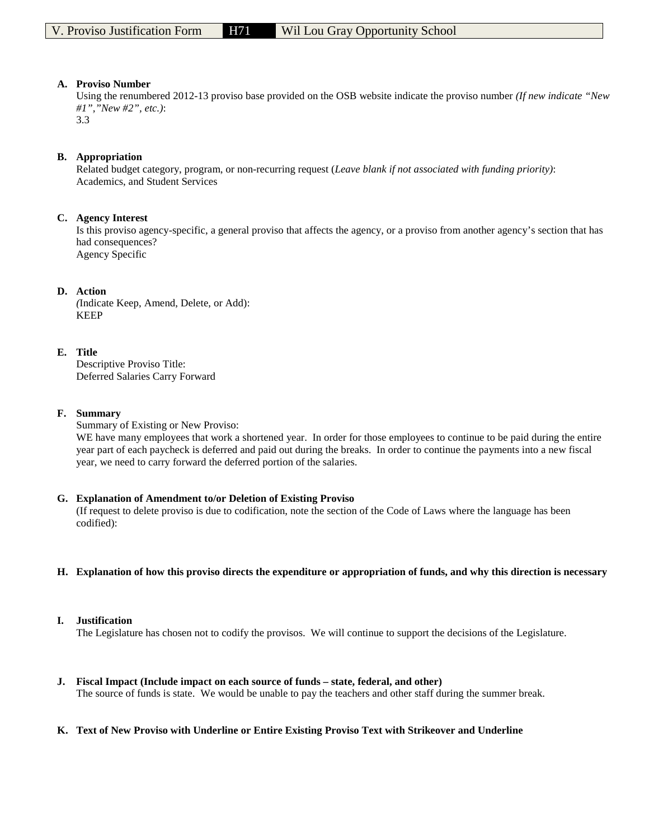Using the renumbered 2012-13 proviso base provided on the OSB website indicate the proviso number *(If new indicate "New #1","New #2", etc.)*:

3.3

### **B. Appropriation**

Related budget category, program, or non-recurring request (*Leave blank if not associated with funding priority)*: Academics, and Student Services

#### **C. Agency Interest**

Is this proviso agency-specific, a general proviso that affects the agency, or a proviso from another agency's section that has had consequences? Agency Specific

#### **D. Action**

*(*Indicate Keep, Amend, Delete, or Add): KEEP

### **E. Title**

Descriptive Proviso Title: Deferred Salaries Carry Forward

#### **F. Summary**

Summary of Existing or New Proviso:

WE have many employees that work a shortened year. In order for those employees to continue to be paid during the entire year part of each paycheck is deferred and paid out during the breaks. In order to continue the payments into a new fiscal year, we need to carry forward the deferred portion of the salaries.

#### **G. Explanation of Amendment to/or Deletion of Existing Proviso**

(If request to delete proviso is due to codification, note the section of the Code of Laws where the language has been codified):

#### **H. Explanation of how this proviso directs the expenditure or appropriation of funds, and why this direction is necessary**

#### **I. Justification**

The Legislature has chosen not to codify the provisos. We will continue to support the decisions of the Legislature.

# **J. Fiscal Impact (Include impact on each source of funds – state, federal, and other)**

The source of funds is state. We would be unable to pay the teachers and other staff during the summer break.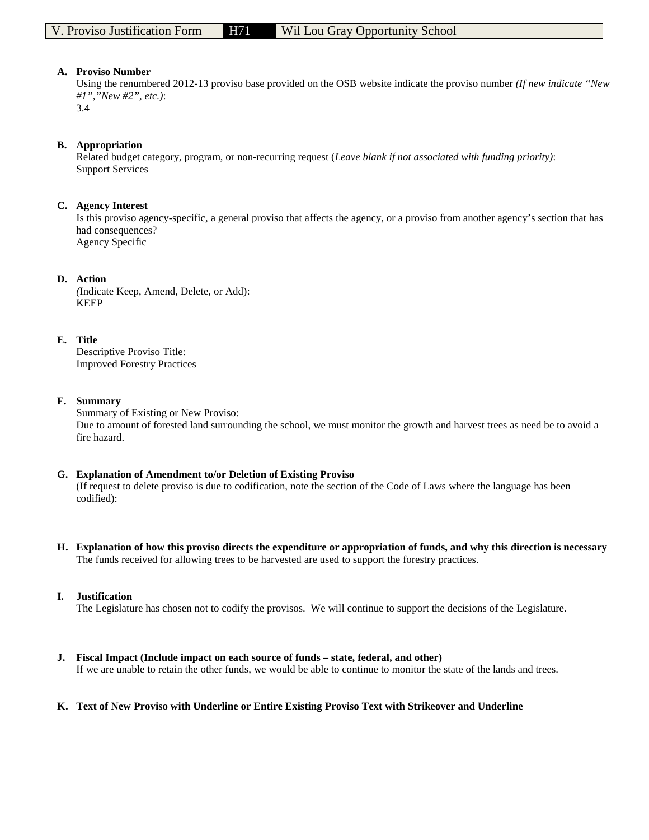Using the renumbered 2012-13 proviso base provided on the OSB website indicate the proviso number *(If new indicate "New #1","New #2", etc.)*:

3.4

### **B. Appropriation**

Related budget category, program, or non-recurring request (*Leave blank if not associated with funding priority)*: Support Services

### **C. Agency Interest**

Is this proviso agency-specific, a general proviso that affects the agency, or a proviso from another agency's section that has had consequences? Agency Specific

### **D. Action**

*(*Indicate Keep, Amend, Delete, or Add): KEEP

### **E. Title**

Descriptive Proviso Title: Improved Forestry Practices

#### **F. Summary**

Summary of Existing or New Proviso: Due to amount of forested land surrounding the school, we must monitor the growth and harvest trees as need be to avoid a fire hazard.

#### **G. Explanation of Amendment to/or Deletion of Existing Proviso** (If request to delete proviso is due to codification, note the section of the Code of Laws where the language has been codified):

**H. Explanation of how this proviso directs the expenditure or appropriation of funds, and why this direction is necessary** The funds received for allowing trees to be harvested are used to support the forestry practices.

# **I. Justification**

The Legislature has chosen not to codify the provisos. We will continue to support the decisions of the Legislature.

#### **J. Fiscal Impact (Include impact on each source of funds – state, federal, and other)**

If we are unable to retain the other funds, we would be able to continue to monitor the state of the lands and trees.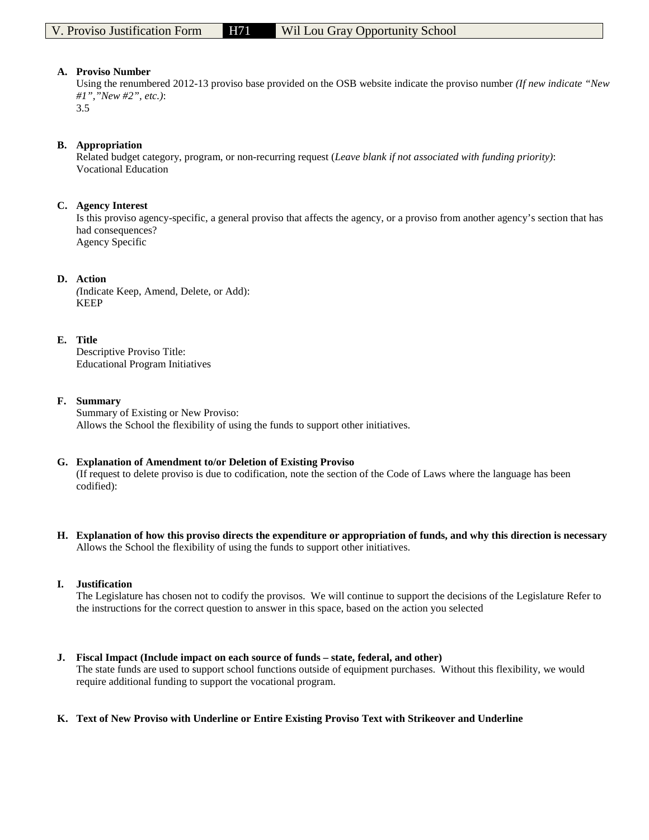Using the renumbered 2012-13 proviso base provided on the OSB website indicate the proviso number *(If new indicate "New #1","New #2", etc.)*: 3.5

### **B. Appropriation**

Related budget category, program, or non-recurring request (*Leave blank if not associated with funding priority)*: Vocational Education

### **C. Agency Interest**

Is this proviso agency-specific, a general proviso that affects the agency, or a proviso from another agency's section that has had consequences? Agency Specific

### **D. Action**

*(*Indicate Keep, Amend, Delete, or Add): KEEP

### **E. Title**

Descriptive Proviso Title: Educational Program Initiatives

### **F. Summary**

Summary of Existing or New Proviso: Allows the School the flexibility of using the funds to support other initiatives.

#### **G. Explanation of Amendment to/or Deletion of Existing Proviso**

(If request to delete proviso is due to codification, note the section of the Code of Laws where the language has been codified):

**H. Explanation of how this proviso directs the expenditure or appropriation of funds, and why this direction is necessary** Allows the School the flexibility of using the funds to support other initiatives.

#### **I. Justification**

The Legislature has chosen not to codify the provisos. We will continue to support the decisions of the Legislature Refer to the instructions for the correct question to answer in this space, based on the action you selected

#### **J. Fiscal Impact (Include impact on each source of funds – state, federal, and other)**

The state funds are used to support school functions outside of equipment purchases. Without this flexibility, we would require additional funding to support the vocational program.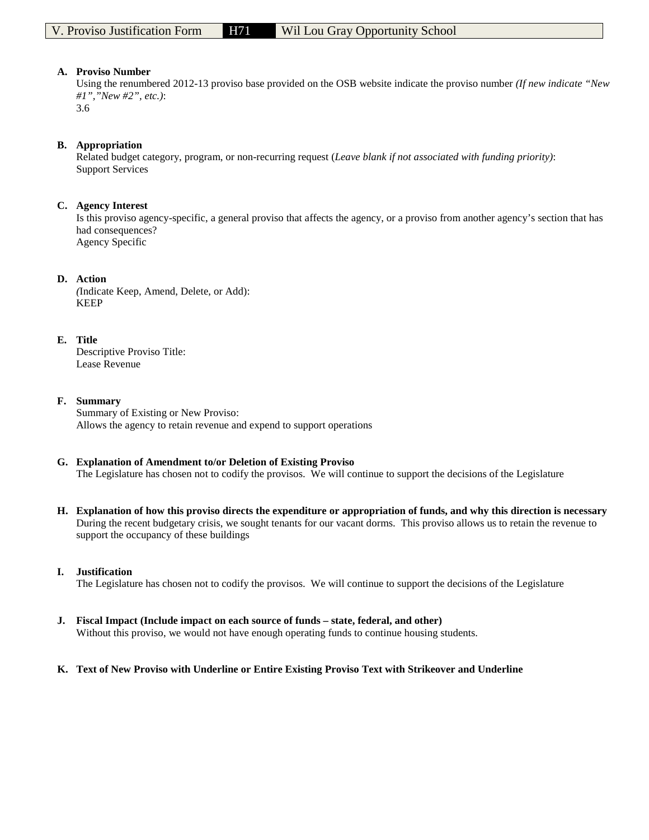Using the renumbered 2012-13 proviso base provided on the OSB website indicate the proviso number *(If new indicate "New #1","New #2", etc.)*:

3.6

### **B. Appropriation**

Related budget category, program, or non-recurring request (*Leave blank if not associated with funding priority)*: Support Services

### **C. Agency Interest**

Is this proviso agency-specific, a general proviso that affects the agency, or a proviso from another agency's section that has had consequences? Agency Specific

### **D. Action**

*(*Indicate Keep, Amend, Delete, or Add): KEEP

### **E. Title**

Descriptive Proviso Title: Lease Revenue

### **F. Summary**

Summary of Existing or New Proviso: Allows the agency to retain revenue and expend to support operations

# **G. Explanation of Amendment to/or Deletion of Existing Proviso**

The Legislature has chosen not to codify the provisos. We will continue to support the decisions of the Legislature

**H. Explanation of how this proviso directs the expenditure or appropriation of funds, and why this direction is necessary** During the recent budgetary crisis, we sought tenants for our vacant dorms. This proviso allows us to retain the revenue to support the occupancy of these buildings

#### **I. Justification**

The Legislature has chosen not to codify the provisos. We will continue to support the decisions of the Legislature

**J. Fiscal Impact (Include impact on each source of funds – state, federal, and other)** Without this proviso, we would not have enough operating funds to continue housing students.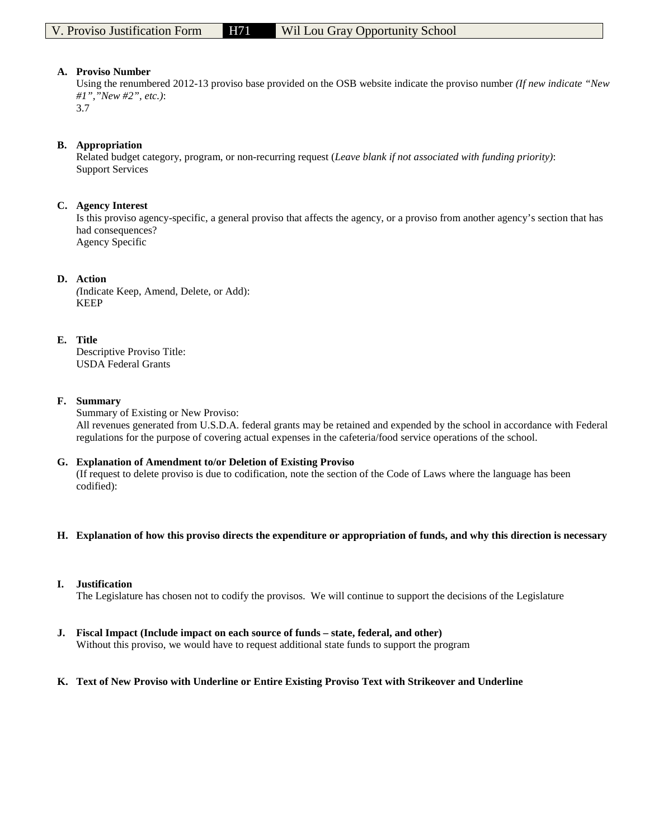Using the renumbered 2012-13 proviso base provided on the OSB website indicate the proviso number *(If new indicate "New #1","New #2", etc.)*:

3.7

#### **B. Appropriation**

Related budget category, program, or non-recurring request (*Leave blank if not associated with funding priority)*: Support Services

### **C. Agency Interest**

Is this proviso agency-specific, a general proviso that affects the agency, or a proviso from another agency's section that has had consequences? Agency Specific

### **D. Action**

*(*Indicate Keep, Amend, Delete, or Add): KEEP

### **E. Title**

Descriptive Proviso Title: USDA Federal Grants

### **F. Summary**

Summary of Existing or New Proviso: All revenues generated from U.S.D.A. federal grants may be retained and expended by the school in accordance with Federal regulations for the purpose of covering actual expenses in the cafeteria/food service operations of the school.

#### **G. Explanation of Amendment to/or Deletion of Existing Proviso**

(If request to delete proviso is due to codification, note the section of the Code of Laws where the language has been codified):

#### **H. Explanation of how this proviso directs the expenditure or appropriation of funds, and why this direction is necessary**

#### **I. Justification**

The Legislature has chosen not to codify the provisos. We will continue to support the decisions of the Legislature

**J. Fiscal Impact (Include impact on each source of funds – state, federal, and other)** Without this proviso, we would have to request additional state funds to support the program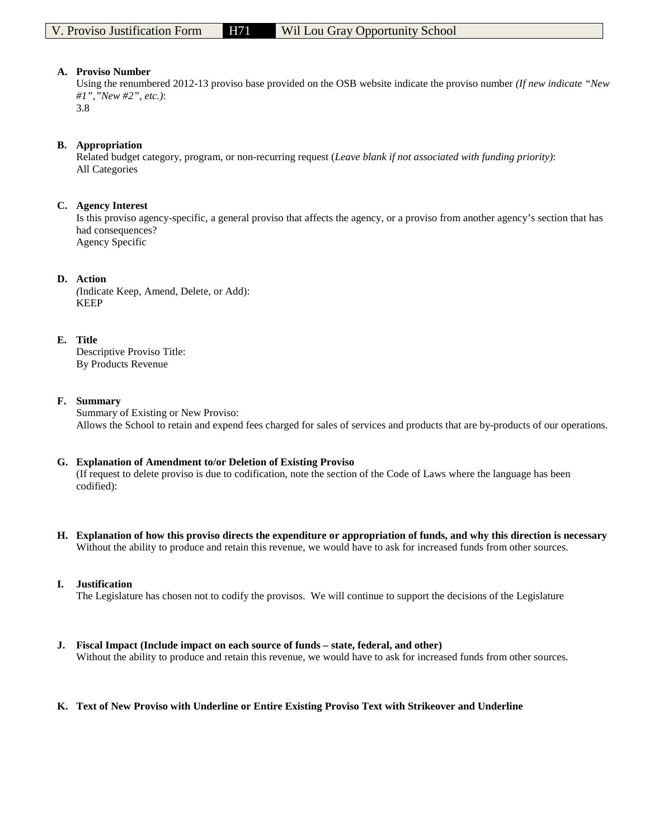Using the renumbered 2012-13 proviso base provided on the OSB website indicate the proviso number *(If new indicate "New #1","New #2", etc.)*:

3.8

### **B. Appropriation**

Related budget category, program, or non-recurring request (*Leave blank if not associated with funding priority)*: All Categories

### **C. Agency Interest**

Is this proviso agency-specific, a general proviso that affects the agency, or a proviso from another agency's section that has had consequences? Agency Specific

### **D. Action**

*(*Indicate Keep, Amend, Delete, or Add): KEEP

### **E. Title**

Descriptive Proviso Title: By Products Revenue

#### **F. Summary**

Summary of Existing or New Proviso: Allows the School to retain and expend fees charged for sales of services and products that are by-products of our operations.

#### **G. Explanation of Amendment to/or Deletion of Existing Proviso**

(If request to delete proviso is due to codification, note the section of the Code of Laws where the language has been codified):

**H. Explanation of how this proviso directs the expenditure or appropriation of funds, and why this direction is necessary** Without the ability to produce and retain this revenue, we would have to ask for increased funds from other sources.

#### **I. Justification**

The Legislature has chosen not to codify the provisos. We will continue to support the decisions of the Legislature

**J. Fiscal Impact (Include impact on each source of funds – state, federal, and other)** Without the ability to produce and retain this revenue, we would have to ask for increased funds from other sources.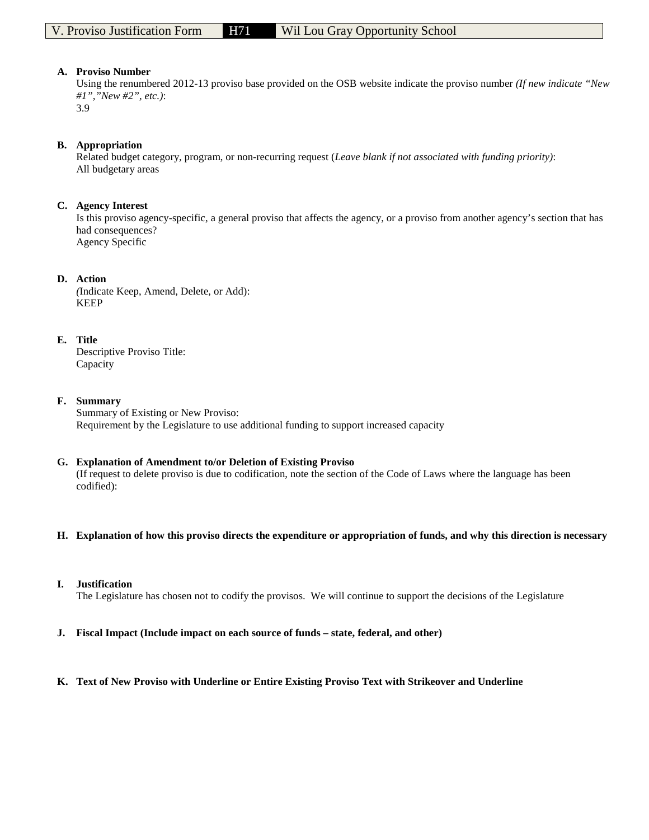Using the renumbered 2012-13 proviso base provided on the OSB website indicate the proviso number *(If new indicate "New #1","New #2", etc.)*:

3.9

#### **B. Appropriation**

Related budget category, program, or non-recurring request (*Leave blank if not associated with funding priority)*: All budgetary areas

### **C. Agency Interest**

Is this proviso agency-specific, a general proviso that affects the agency, or a proviso from another agency's section that has had consequences? Agency Specific

### **D. Action**

*(*Indicate Keep, Amend, Delete, or Add): KEEP

### **E. Title**

Descriptive Proviso Title: Capacity

### **F. Summary**

Summary of Existing or New Proviso: Requirement by the Legislature to use additional funding to support increased capacity

#### **G. Explanation of Amendment to/or Deletion of Existing Proviso**

(If request to delete proviso is due to codification, note the section of the Code of Laws where the language has been codified):

#### **H. Explanation of how this proviso directs the expenditure or appropriation of funds, and why this direction is necessary**

#### **I. Justification**

The Legislature has chosen not to codify the provisos. We will continue to support the decisions of the Legislature

**J. Fiscal Impact (Include impact on each source of funds – state, federal, and other)**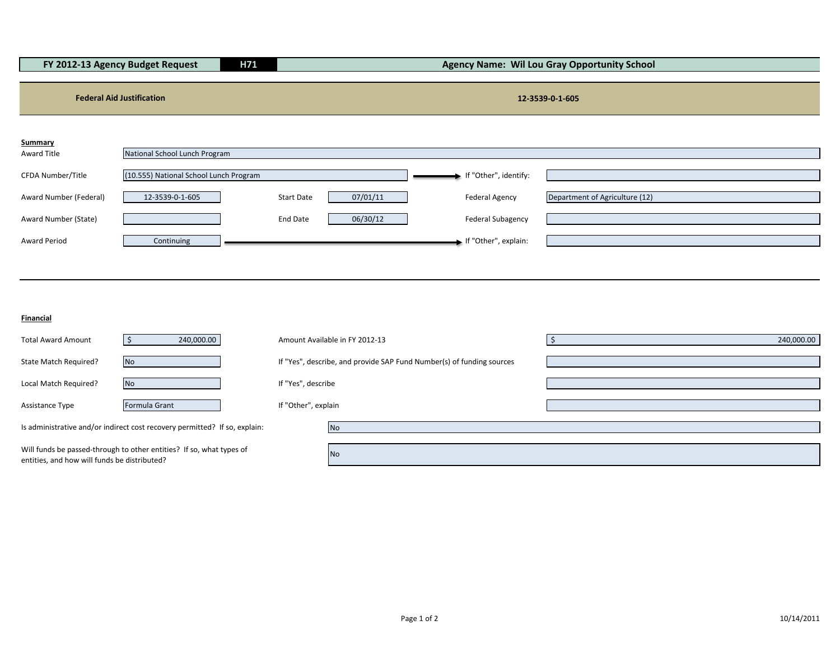|                        | FY 2012-13 Agency Budget Request       | H71               |          |                          | <b>Agency Name: Wil Lou Gray Opportunity School</b> |
|------------------------|----------------------------------------|-------------------|----------|--------------------------|-----------------------------------------------------|
|                        |                                        |                   |          |                          |                                                     |
|                        | <b>Federal Aid Justification</b>       |                   |          |                          | 12-3539-0-1-605                                     |
|                        |                                        |                   |          |                          |                                                     |
| <b>Summary</b>         |                                        |                   |          |                          |                                                     |
| Award Title            | National School Lunch Program          |                   |          |                          |                                                     |
| CFDA Number/Title      | (10.555) National School Lunch Program |                   |          | f "Other", identify:     |                                                     |
| Award Number (Federal) | 12-3539-0-1-605                        | <b>Start Date</b> | 07/01/11 | <b>Federal Agency</b>    | Department of Agriculture (12)                      |
| Award Number (State)   |                                        | End Date          | 06/30/12 | <b>Federal Subagency</b> |                                                     |
| <b>Award Period</b>    | Continuing                             |                   |          | If "Other", explain:     |                                                     |
|                        |                                        |                   |          |                          |                                                     |

**Financial**

| <b>Total Award Amount</b>                                                                                            | 240,000.00                                                                 | Amount Available in FY 2012-13                                        | 240,000.00 |
|----------------------------------------------------------------------------------------------------------------------|----------------------------------------------------------------------------|-----------------------------------------------------------------------|------------|
| State Match Required?                                                                                                | <b>No</b>                                                                  | If "Yes", describe, and provide SAP Fund Number(s) of funding sources |            |
| Local Match Required?                                                                                                | <b>No</b>                                                                  | If "Yes", describe                                                    |            |
| Assistance Type                                                                                                      | Formula Grant                                                              | If "Other", explain                                                   |            |
|                                                                                                                      | Is administrative and/or indirect cost recovery permitted? If so, explain: |                                                                       |            |
| Will funds be passed-through to other entities? If so, what types of<br>entities, and how will funds be distributed? |                                                                            | <b>No</b>                                                             |            |